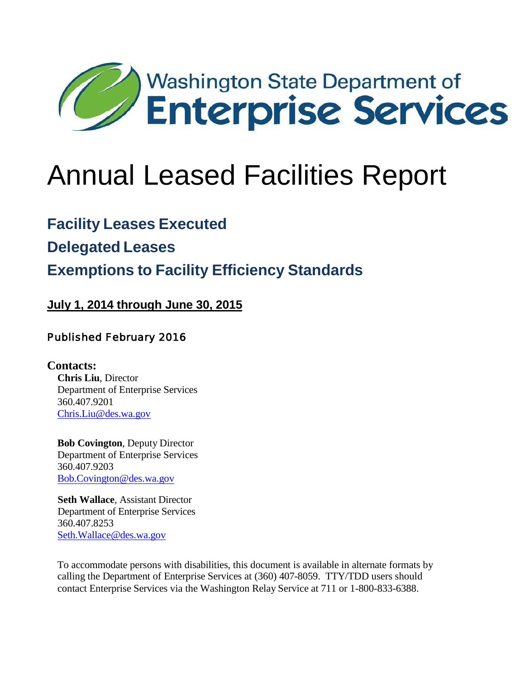

### **Facility Leases Executed**

**Delegated Leases**

## **Exemptions to Facility Efficiency Standards**

**July 1, 2014 through June 30, 2015**

#### Published February 2016

**Contacts: Chris Liu**, Director Department of Enterprise Services 360.407.9201 [Chris.Liu@des.wa.gov](mailto:Chris.Liu@des.wa.gov)

**Bob Covington**, Deputy Director Department of Enterprise Services 360.407.9203 [Bob.Covington@des.wa.gov](mailto:Bob.Covington@des.wa.gov)

**Seth Wallace**, Assistant Director Department of Enterprise Services 360.407.8253 [Seth.Wallace@des.wa.gov](mailto:Seth.Wallace@des.wa.gov)

To accommodate persons with disabilities, this document is available in alternate formats by calling the Department of Enterprise Services at (360) 407-8059. TTY/TDD users should contact Enterprise Services via the Washington Relay Service at 711 or 1-800-833-6388.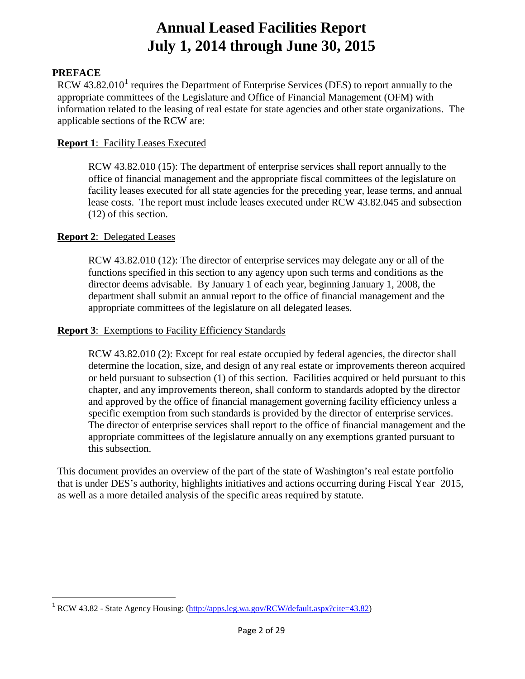#### **PREFACE**

RCW  $43.82.010<sup>1</sup>$  $43.82.010<sup>1</sup>$  $43.82.010<sup>1</sup>$  requires the Department of Enterprise Services (DES) to report annually to the appropriate committees of the Legislature and Office of Financial Management (OFM) with information related to the leasing of real estate for state agencies and other state organizations. The applicable sections of the RCW are:

#### **Report 1**: Facility Leases Executed

RCW 43.82.010 (15): The department of enterprise services shall report annually to the office of financial management and the appropriate fiscal committees of the legislature on facility leases executed for all state agencies for the preceding year, lease terms, and annual lease costs. The report must include leases executed under RCW 43.82.045 and subsection (12) of this section.

#### **Report 2**: Delegated Leases

RCW 43.82.010 (12): The director of enterprise services may delegate any or all of the functions specified in this section to any agency upon such terms and conditions as the director deems advisable. By January 1 of each year, beginning January 1, 2008, the department shall submit an annual report to the office of financial management and the appropriate committees of the legislature on all delegated leases.

#### **Report 3**: Exemptions to Facility Efficiency Standards

RCW 43.82.010 (2): Except for real estate occupied by federal agencies, the director shall determine the location, size, and design of any real estate or improvements thereon acquired or held pursuant to subsection (1) of this section. Facilities acquired or held pursuant to this chapter, and any improvements thereon, shall conform to standards adopted by the director and approved by the office of financial management governing facility efficiency unless a specific exemption from such standards is provided by the director of enterprise services. The director of enterprise services shall report to the office of financial management and the appropriate committees of the legislature annually on any exemptions granted pursuant to this subsection.

This document provides an overview of the part of the state of Washington's real estate portfolio that is under DES's authority, highlights initiatives and actions occurring during Fiscal Year 2015, as well as a more detailed analysis of the specific areas required by statute.

<span id="page-1-0"></span><sup>&</sup>lt;sup>1</sup> RCW 43.82 - State Agency Housing: [\(http://apps.leg.wa.gov/RCW/default.aspx?cite=43.82\)](http://apps.leg.wa.gov/RCW/default.aspx?cite=43.82)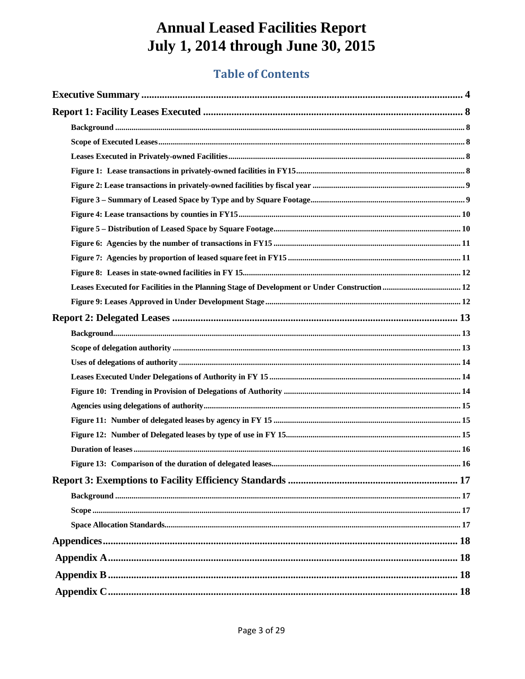### **Table of Contents**

| Leases Executed for Facilities in the Planning Stage of Development or Under Construction  12 |  |
|-----------------------------------------------------------------------------------------------|--|
|                                                                                               |  |
|                                                                                               |  |
|                                                                                               |  |
|                                                                                               |  |
|                                                                                               |  |
|                                                                                               |  |
|                                                                                               |  |
|                                                                                               |  |
|                                                                                               |  |
|                                                                                               |  |
|                                                                                               |  |
|                                                                                               |  |
|                                                                                               |  |
|                                                                                               |  |
|                                                                                               |  |
|                                                                                               |  |
|                                                                                               |  |
|                                                                                               |  |
|                                                                                               |  |
|                                                                                               |  |
|                                                                                               |  |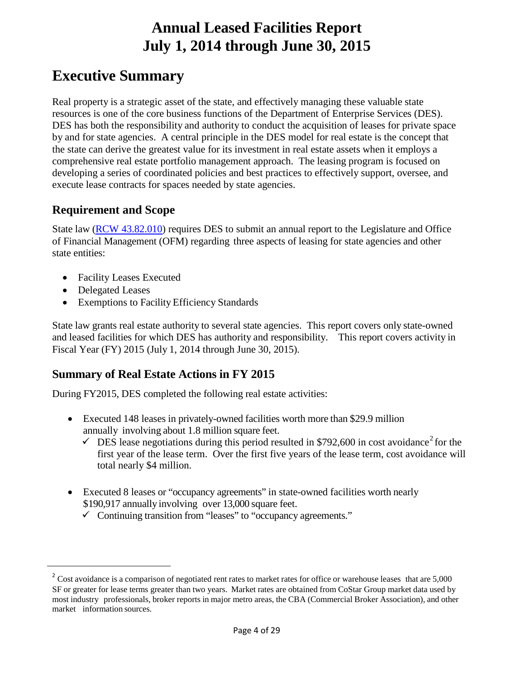### <span id="page-3-0"></span>**Executive Summary**

Real property is a strategic asset of the state, and effectively managing these valuable state resources is one of the core business functions of the Department of Enterprise Services (DES). DES has both the responsibility and authority to conduct the acquisition of leases for private space by and for state agencies. A central principle in the DES model for real estate is the concept that the state can derive the greatest value for its investment in real estate assets when it employs a comprehensive real estate portfolio management approach. The leasing program is focused on developing a series of coordinated policies and best practices to effectively support, oversee, and execute lease contracts for spaces needed by state agencies.

#### **Requirement and Scope**

State law (RCW [43.82.010\)](http://apps.leg.wa.gov/rcw/default.aspx?cite=43.82.010) requires DES to submit an annual report to the Legislature and Office of Financial Management (OFM) regarding three aspects of leasing for state agencies and other state entities:

- Facility Leases Executed
- Delegated Leases

<span id="page-3-1"></span> $\overline{a}$ 

• Exemptions to Facility Efficiency Standards

State law grants real estate authority to several state agencies. This report covers only state-owned and leased facilities for which DES has authority and responsibility. This report covers activity in Fiscal Year (FY) 2015 (July 1, 2014 through June 30, 2015).

#### **Summary of Real Estate Actions in FY 2015**

During FY2015, DES completed the following real estate activities:

- Executed 148 leases in privately-owned facilities worth more than \$29.9 million annually involving about 1.8 million square feet.
	- $\checkmark$  DES lease negotiations during this period resulted in \$79[2](#page-3-1),600 in cost avoidance<sup>2</sup> for the first year of the lease term. Over the first five years of the lease term, cost avoidance will total nearly \$4 million.
- Executed 8 leases or "occupancy agreements" in state-owned facilities worth nearly \$190,917 annually involving over 13,000 square feet.
	- $\checkmark$  Continuing transition from "leases" to "occupancy agreements."

<sup>&</sup>lt;sup>2</sup> Cost avoidance is a comparison of negotiated rent rates to market rates for office or warehouse leases that are  $5,000$ SF or greater for lease terms greater than two years. Market rates are obtained from CoStar Group market data used by most industry professionals, broker reports in major metro areas, the CBA (Commercial Broker Association), and other market information sources.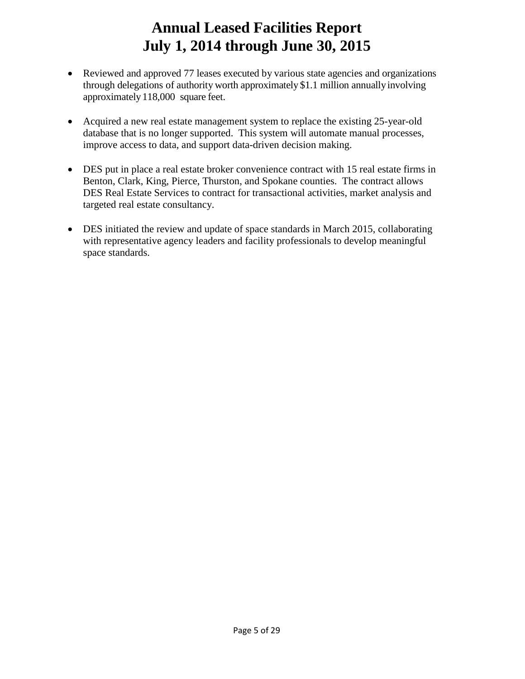- Reviewed and approved 77 leases executed by various state agencies and organizations through delegations of authority worth approximately \$1.1 million annuallyinvolving approximately118,000 square feet.
- Acquired a new real estate management system to replace the existing 25-year-old database that is no longer supported. This system will automate manual processes, improve access to data, and support data-driven decision making.
- DES put in place a real estate broker convenience contract with 15 real estate firms in Benton, Clark, King, Pierce, Thurston, and Spokane counties. The contract allows DES Real Estate Services to contract for transactional activities, market analysis and targeted real estate consultancy.
- DES initiated the review and update of space standards in March 2015, collaborating with representative agency leaders and facility professionals to develop meaningful space standards.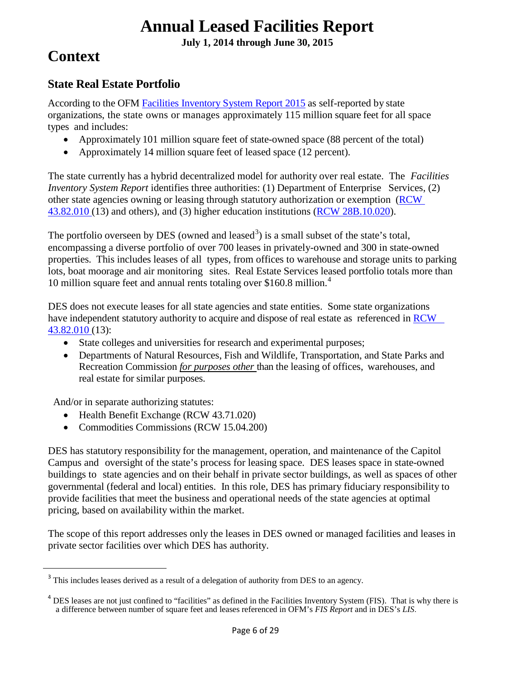**July 1, 2014 through June 30, 2015**

### **Context**

#### **State Real Estate Portfolio**

According to the OFM [Facilities Inventory System Report 2015](http://www.ofm.wa.gov/budget/facilities/documents/FacilitiesInventorySystemReport2015.pdf) as self-reported by state organizations, the state owns or manages approximately 115 million square feet for all space types and includes:

- Approximately 101 million square feet of state-owned space (88 percent of the total)
- Approximately 14 million square feet of leased space (12 percent).

The state currently has a hybrid decentralized model for authority over real estate. The *Facilities Inventory System Report* identifies three authorities: (1) Department of Enterprise Services, (2) other state agencies owning or leasing through statutory authorization or exemption [\(RCW](http://apps.leg.wa.gov/rcw/default.aspx?cite=43.82.010) [43.82.010](http://apps.leg.wa.gov/rcw/default.aspx?cite=43.82.010) (13) and others), and (3) higher education institutions (RCW 28B.10.020).

The portfolio overseen by DES (owned and leased<sup>[3](#page-5-0)</sup>) is a small subset of the state's total, encompassing a diverse portfolio of over 700 leases in privately-owned and 300 in state-owned properties. This includes leases of all types, from offices to warehouse and storage units to parking lots, boat moorage and air monitoring sites. Real Estate Services leased portfolio totals more than 10 million square feet and annual rents totaling over \$160.8 million. $4$ 

DES does not execute leases for all state agencies and state entities. Some state organizations have independent statutory authority to acquire and dispose of real estate as referenced in [RCW](http://apps.leg.wa.gov/rcw/default.aspx?cite=43.82.010) [43.82.010 \(](http://apps.leg.wa.gov/rcw/default.aspx?cite=43.82.010)13):

- State colleges and universities for research and experimental purposes;
- Departments of Natural Resources, Fish and Wildlife, Transportation, and State Parks and Recreation Commission *for purposes other* than the leasing of offices, warehouses, and real estate for similar purposes.

And/or in separate authorizing statutes:

- Health Benefit Exchange (RCW 43.71.020)
- Commodities Commissions (RCW 15.04.200)

DES has statutory responsibility for the management, operation, and maintenance of the Capitol Campus and oversight of the state's process for leasing space. DES leases space in state-owned buildings to state agencies and on their behalf in private sector buildings, as well as spaces of other governmental (federal and local) entities. In this role, DES has primary fiduciary responsibility to provide facilities that meet the business and operational needs of the state agencies at optimal pricing, based on availability within the market.

The scope of this report addresses only the leases in DES owned or managed facilities and leases in private sector facilities over which DES has authority.

<span id="page-5-0"></span><sup>&</sup>lt;sup>3</sup> This includes leases derived as a result of a delegation of authority from DES to an agency.

<span id="page-5-1"></span> $4$  DES leases are not just confined to "facilities" as defined in the Facilities Inventory System (FIS). That is why there is a difference between number of square feet and leases referenced in OFM's *FIS Report* and in DES's *LIS*.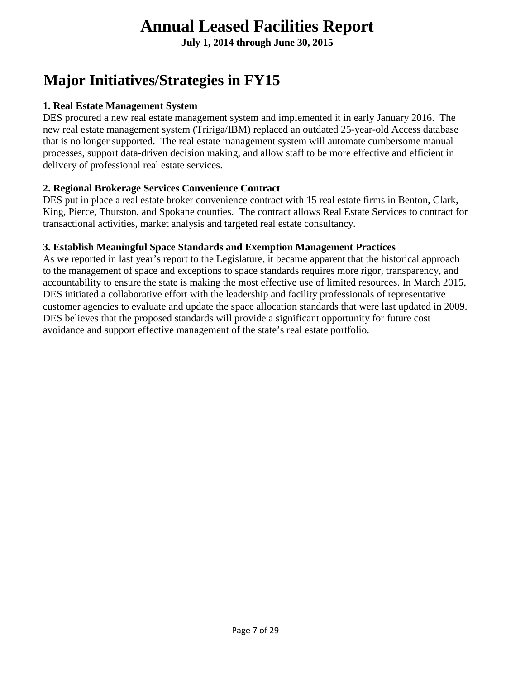**July 1, 2014 through June 30, 2015**

# **Major Initiatives/Strategies in FY15**

#### **1. Real Estate Management System**

DES procured a new real estate management system and implemented it in early January 2016. The new real estate management system (Tririga/IBM) replaced an outdated 25-year-old Access database that is no longer supported. The real estate management system will automate cumbersome manual processes, support data-driven decision making, and allow staff to be more effective and efficient in delivery of professional real estate services.

#### **2. Regional Brokerage Services Convenience Contract**

DES put in place a real estate broker convenience contract with 15 real estate firms in Benton, Clark, King, Pierce, Thurston, and Spokane counties. The contract allows Real Estate Services to contract for transactional activities, market analysis and targeted real estate consultancy.

#### **3. Establish Meaningful Space Standards and Exemption Management Practices**

<span id="page-6-0"></span>As we reported in last year's report to the Legislature, it became apparent that the historical approach to the management of space and exceptions to space standards requires more rigor, transparency, and accountability to ensure the state is making the most effective use of limited resources. In March 2015, DES initiated a collaborative effort with the leadership and facility professionals of representative customer agencies to evaluate and update the space allocation standards that were last updated in 2009. DES believes that the proposed standards will provide a significant opportunity for future cost avoidance and support effective management of the state's real estate portfolio.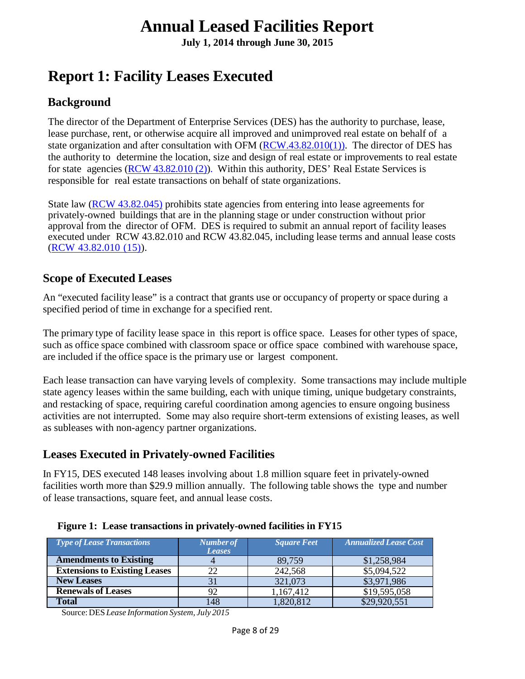**July 1, 2014 through June 30, 2015**

### **Report 1: Facility Leases Executed**

#### <span id="page-7-0"></span>**Background**

The director of the Department of Enterprise Services (DES) has the authority to purchase, lease, lease purchase, rent, or otherwise acquire all improved and unimproved real estate on behalf of a state organization and after consultation with OFM  $(RCW.43.82.010(1))$ . The director of DES has the authority to determine the location, size and design of real estate or improvements to real estate for state agencies (RCW [43.82.010](http://apps.leg.wa.gov/rcw/default.aspx?cite=43.82.010) (2)). Within this authority, DES' Real Estate Services is responsible for real estate transactions on behalf of state organizations.

State law (RCW 43.82.045) prohibits state agencies from entering into lease agreements for privately-owned buildings that are in the planning stage or under construction without prior approval from the director of OFM. DES is required to submit an annual report of facility leases executed under RCW 43.82.010 and RCW 43.82.045, including lease terms and annual lease costs (RCW [43.82.010](http://apps.leg.wa.gov/rcw/default.aspx?cite=43.82.010) (15)).

#### <span id="page-7-1"></span>**Scope of Executed Leases**

An "executed facility lease" is a contract that grants use or occupancy of property or space during a specified period of time in exchange for a specified rent.

The primary type of facility lease space in this report is office space. Leases for other types of space, such as office space combined with classroom space or office space combined with warehouse space, are included if the office space is the primary use or largest component.

Each lease transaction can have varying levels of complexity. Some transactions may include multiple state agency leases within the same building, each with unique timing, unique budgetary constraints, and restacking of space, requiring careful coordination among agencies to ensure ongoing business activities are not interrupted. Some may also require short-term extensions of existing leases, as well as subleases with non-agency partner organizations.

#### <span id="page-7-2"></span>**Leases Executed in Privately-owned Facilities**

In FY15, DES executed 148 leases involving about 1.8 million square feet in privately-owned facilities worth more than \$29.9 million annually. The following table shows the type and number of lease transactions, square feet, and annual lease costs.

| <b>Type of Lease Transactions</b>    | Number of<br><b>Leases</b> | <b>Square Feet</b> | <b>Annualized Lease Cost</b> |
|--------------------------------------|----------------------------|--------------------|------------------------------|
| <b>Amendments to Existing</b>        |                            | 89,759             | \$1,258,984                  |
| <b>Extensions to Existing Leases</b> | 22                         | 242,568            | \$5,094,522                  |
| <b>New Leases</b>                    |                            | 321,073            | \$3,971,986                  |
| <b>Renewals of Leases</b>            | 92                         | 1,167,412          | \$19,595,058                 |
| <b>Total</b>                         | 148                        | 1,820,812          | \$29,920,551                 |

<span id="page-7-3"></span>

Source:DES *Lease Information System, July 2015*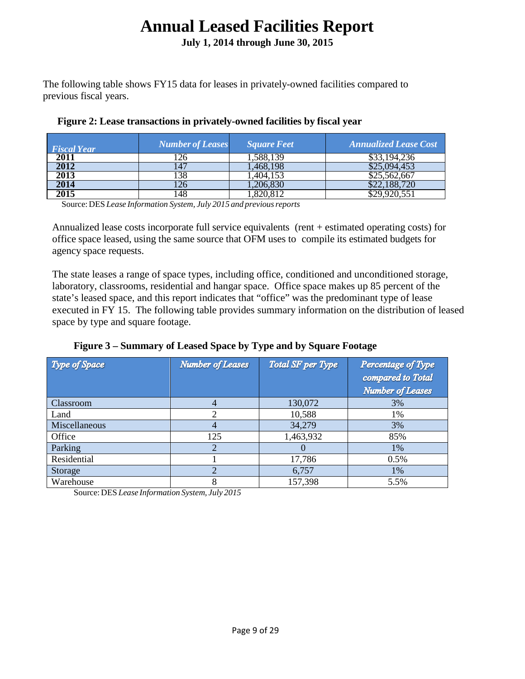**July 1, 2014 through June 30, 2015**

The following table shows FY15 data for leases in privately-owned facilities compared to previous fiscal years.

| <b>Fiscal Year</b> | <b>Number of Leases</b> | <b>Square Feet</b> | <b>Annualized Lease Cost</b> |
|--------------------|-------------------------|--------------------|------------------------------|
| 2011               | 26                      | 1.588.139          | \$33,194,236                 |
| 2012               |                         | .468.198           | \$25.094.453                 |
| 2013               | 138                     | .404.153           | \$25,562,667                 |
| 2014               | 126                     | 206,830            | \$22,188,720                 |
| 2015               | .48                     |                    |                              |

#### <span id="page-8-0"></span>**Figure 2: Lease transactions in privately-owned facilities by fiscal year**

Source:DES *Lease Information System, July 2015 and previousreports*

Annualized lease costs incorporate full service equivalents (rent + estimated operating costs) for office space leased, using the same source that OFM uses to compile its estimated budgets for agency space requests.

The state leases a range of space types, including office, conditioned and unconditioned storage, laboratory, classrooms, residential and hangar space. Office space makes up 85 percent of the state's leased space, and this report indicates that "office" was the predominant type of lease executed in FY 15. The following table provides summary information on the distribution of leased space by type and square footage.

<span id="page-8-1"></span>

|  | Figure 3 – Summary of Leased Space by Type and by Square Footage |  |  |  |  |  |
|--|------------------------------------------------------------------|--|--|--|--|--|
|  |                                                                  |  |  |  |  |  |
|  |                                                                  |  |  |  |  |  |
|  |                                                                  |  |  |  |  |  |

| Type of Space | <b>Number of Leases</b> | Total SF per Type | Percentage of Type<br>compared to Total<br><b>Number of Leases</b> |
|---------------|-------------------------|-------------------|--------------------------------------------------------------------|
| Classroom     |                         | 130,072           | 3%                                                                 |
| Land          | ∍                       | 10,588            | 1%                                                                 |
| Miscellaneous | 4                       | 34,279            | 3%                                                                 |
| Office        | 125                     | 1,463,932         | 85%                                                                |
| Parking       | っ                       | $\mathbf{U}$      | 1%                                                                 |
| Residential   |                         | 17,786            | $0.5\%$                                                            |
| Storage       |                         | 6,757             | 1%                                                                 |
| Warehouse     | 8                       | 157,398           | 5.5%                                                               |

Source:DES *Lease Information System, July 2015*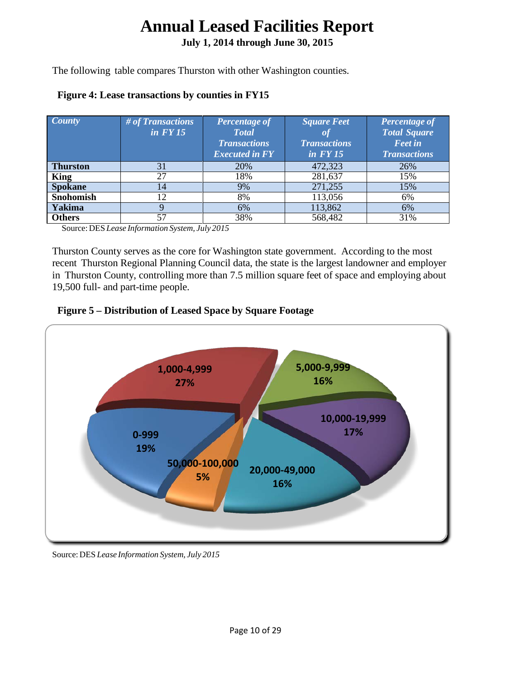**July 1, 2014 through June 30, 2015**

The following table compares Thurston with other Washington counties.

<span id="page-9-0"></span>

|  | <b>Figure 4: Lease transactions by counties in FY15</b> |  |  |
|--|---------------------------------------------------------|--|--|
|  |                                                         |  |  |

| <b>County</b>   | # of Transactions<br>$in$ $FY15$ | Percentage of<br><b>Total</b><br><b>Transactions</b><br><b>Executed in FY</b> | <b>Square Feet</b><br><b>Transactions</b><br>$in$ $FY$ 15 | Percentage of<br><b>Total Square</b><br><b>Feet in</b><br><b>Transactions</b> |
|-----------------|----------------------------------|-------------------------------------------------------------------------------|-----------------------------------------------------------|-------------------------------------------------------------------------------|
| <b>Thurston</b> | 31                               | 20%                                                                           | 472,323                                                   | 26%                                                                           |
| King            | 27                               | 18%                                                                           | 281,637                                                   | 15%                                                                           |
| <b>Spokane</b>  | 14                               | 9%                                                                            | 271,255                                                   | 15%                                                                           |
| Snohomish       | 12                               | 8%                                                                            | 113,056                                                   | 6%                                                                            |
| Yakima          |                                  | 6%                                                                            | 113,862                                                   | 6%                                                                            |
| <b>Others</b>   | 57                               | 38%                                                                           | 568,482                                                   | 31%                                                                           |

Source:DES *Lease Information System, July 2015*

Thurston County serves as the core for Washington state government. According to the most recent Thurston Regional Planning Council data, the state is the largest landowner and employer in Thurston County, controlling more than 7.5 million square feet of space and employing about 19,500 full- and part-time people.

<span id="page-9-1"></span>



Source:DES *Lease Information System, July 2015*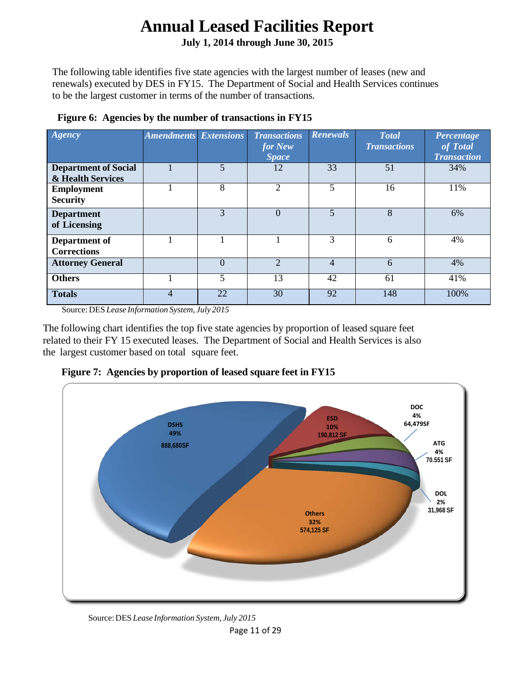**July 1, 2014 through June 30, 2015**

The following table identifies five state agencies with the largest number of leases (new and renewals) executed by DES in FY15. The Department of Social and Health Services continues to be the largest customer in terms of the number of transactions.

| Ageency                                          | <b>Amendments Extensions</b> |          | <b>Transactions</b><br>for New<br><b>Space</b> | <b>Renewals</b> | <b>Total</b><br><b>Transactions</b> | Percentage<br>of Total<br><b>Transaction</b> |
|--------------------------------------------------|------------------------------|----------|------------------------------------------------|-----------------|-------------------------------------|----------------------------------------------|
| <b>Department of Social</b><br>& Health Services |                              | 5        | 12                                             | 33              | 51                                  | 34%                                          |
| <b>Employment</b><br><b>Security</b>             |                              | 8        | $\overline{2}$                                 | 5               | 16                                  | 11%                                          |
| <b>Department</b><br>of Licensing                |                              | 3        | $\Omega$                                       | 5               | 8                                   | 6%                                           |
| Department of<br><b>Corrections</b>              |                              |          |                                                | 3               | 6                                   | 4%                                           |
| <b>Attorney General</b>                          |                              | $\theta$ | $\overline{2}$                                 | 4               | 6                                   | 4%                                           |
| <b>Others</b>                                    |                              | 5        | 13                                             | 42              | 61                                  | 41%                                          |
| <b>Totals</b>                                    | 4                            | 22       | 30                                             | 92              | 148                                 | 100%                                         |

#### <span id="page-10-0"></span>**Figure 6: Agencies by the number of transactions in FY15**

Source:DES *Lease Information System, July 2015*

The following chart identifies the top five state agencies by proportion of leased square feet related to their FY 15 executed leases. The Department of Social and Health Services is also the largest customer based on total square feet.

<span id="page-10-1"></span>



Source:DES *Lease Information System, July 2015*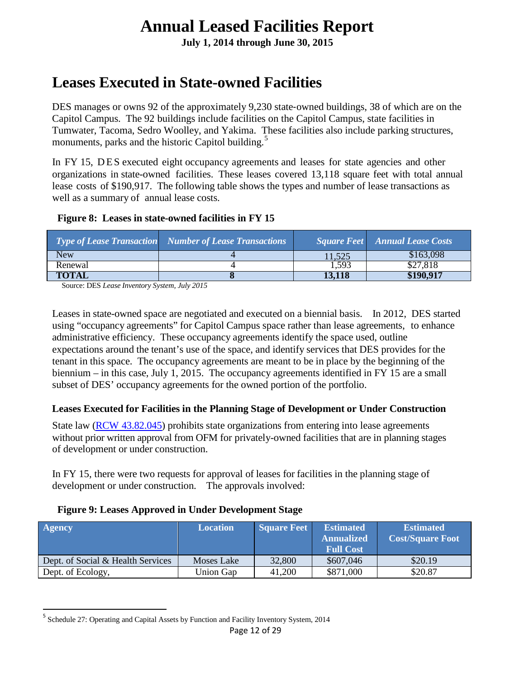**July 1, 2014 through June 30, 2015**

### **Leases Executed in State-owned Facilities**

DES manages or owns 92 of the approximately 9,230 state-owned buildings, 38 of which are on the Capitol Campus. The 92 buildings include facilities on the Capitol Campus, state facilities in Tumwater, Tacoma, Sedro Woolley, and Yakima. These facilities also include parking structures, monuments, parks and the historic Capitol building.<sup>[5](#page-11-3)</sup>

In FY 15, DES executed eight occupancy agreements and leases for state agencies and other organizations in state-owned facilities. These leases covered 13,118 square feet with total annual lease costs of \$190,917. The following table shows the types and number of lease transactions as well as a summary of annual lease costs.

#### <span id="page-11-0"></span>**Figure 8: Leases in state-owned facilities in FY 15**

|         | <b>Type of Lease Transaction</b> Number of Lease Transactions |        | <b>Square Feet</b> Annual Lease Costs |
|---------|---------------------------------------------------------------|--------|---------------------------------------|
| New     |                                                               | 11.525 | \$163,098                             |
| Renewal |                                                               | 1,593  | \$27,818                              |
| TOTAL   |                                                               | 13.118 | \$190.917                             |

Source: DES *Lease Inventory System, July 2015*

Leases in state-owned space are negotiated and executed on a biennial basis. In 2012, DES started using "occupancy agreements" for Capitol Campus space rather than lease agreements, to enhance administrative efficiency. These occupancy agreements identify the space used, outline expectations around the tenant's use of the space, and identify services that DES provides for the tenant in this space. The occupancy agreements are meant to be in place by the beginning of the biennium – in this case, July 1, 2015. The occupancy agreements identified in FY 15 are a small subset of DES' occupancy agreements for the owned portion of the portfolio.

#### <span id="page-11-1"></span>**Leases Executed for Facilities in the Planning Stage of Development or Under Construction**

State law (RCW [43.82.045\)](http://apps.leg.wa.gov/rcw/default.aspx?cite=43.82.045) prohibits state organizations from entering into lease agreements without prior written approval from OFM for privately-owned facilities that are in planning stages of development or under construction.

In FY 15, there were two requests for approval of leases for facilities in the planning stage of development or under construction. The approvals involved:

#### <span id="page-11-2"></span>**Figure 9: Leases Approved in Under Development Stage**

| <b>Agency</b>                     | <b>Location</b> | <b>Square Feet</b> | <b>Estimated</b><br><b>Annualized</b><br><b>Full Cost</b> | <b>Estimated</b><br><b>Cost/Square Foot</b> |
|-----------------------------------|-----------------|--------------------|-----------------------------------------------------------|---------------------------------------------|
| Dept. of Social & Health Services | Moses Lake      | 32,800             | \$607,046                                                 | \$20.19                                     |
| Dept. of Ecology,                 | Union Gap       | 41,200             | \$871,000                                                 | \$20.87                                     |

<span id="page-11-3"></span> <sup>5</sup> Schedule 27: Operating and Capital Assets by Function and Facility Inventory System, <sup>2014</sup>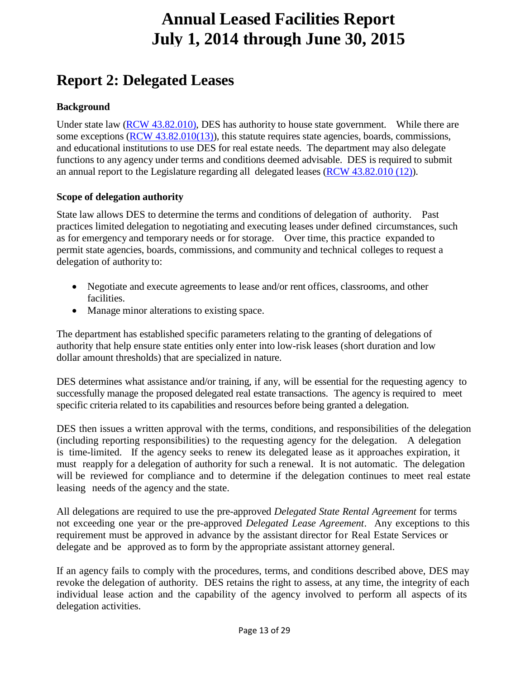### <span id="page-12-0"></span>**Report 2: Delegated Leases**

#### <span id="page-12-1"></span>**Background**

Under state law (RCW [43.82.010\)](http://apps.leg.wa.gov/rcw/default.aspx?cite=43.82.010), DES has authority to house state government. While there are some exceptions (RCW [43.82.010\(](http://apps.leg.wa.gov/rcw/default.aspx?cite=43.82.010)13)), this statute requires state agencies, boards, commissions, and educational institutions to use DES for real estate needs. The department may also delegate functions to any agency under terms and conditions deemed advisable. DES is required to submit an annual report to the Legislature regarding all delegated leases (RCW [43.82.010](http://apps.leg.wa.gov/rcw/default.aspx?cite=43.82.010) (12)).

#### <span id="page-12-2"></span>**Scope of delegation authority**

State law allows DES to determine the terms and conditions of delegation of authority. Past practices limited delegation to negotiating and executing leases under defined circumstances, such as for emergency and temporary needs or for storage. Over time, this practice expanded to permit state agencies, boards, commissions, and community and technical colleges to request a delegation of authority to:

- Negotiate and execute agreements to lease and/or rent offices, classrooms, and other facilities.
- Manage minor alterations to existing space.

The department has established specific parameters relating to the granting of delegations of authority that help ensure state entities only enter into low-risk leases (short duration and low dollar amount thresholds) that are specialized in nature.

DES determines what assistance and/or training, if any, will be essential for the requesting agency to successfully manage the proposed delegated real estate transactions. The agency is required to meet specific criteria related to its capabilities and resources before being granted a delegation.

DES then issues a written approval with the terms, conditions, and responsibilities of the delegation (including reporting responsibilities) to the requesting agency for the delegation. A delegation is time-limited. If the agency seeks to renew its delegated lease as it approaches expiration, it must reapply for a delegation of authority for such a renewal. It is not automatic. The delegation will be reviewed for compliance and to determine if the delegation continues to meet real estate leasing needs of the agency and the state.

All delegations are required to use the pre-approved *Delegated State Rental Agreement* for terms not exceeding one year or the pre-approved *Delegated Lease Agreement*. Any exceptions to this requirement must be approved in advance by the assistant director for Real Estate Services or delegate and be approved as to form by the appropriate assistant attorney general.

If an agency fails to comply with the procedures, terms, and conditions described above, DES may revoke the delegation of authority. DES retains the right to assess, at any time, the integrity of each individual lease action and the capability of the agency involved to perform all aspects of its delegation activities.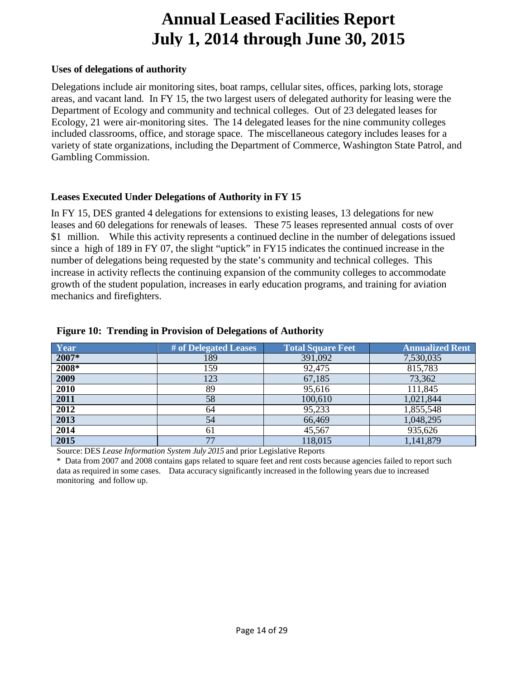#### <span id="page-13-0"></span>**Uses of delegations of authority**

Delegations include air monitoring sites, boat ramps, cellular sites, offices, parking lots, storage areas, and vacant land. In FY 15, the two largest users of delegated authority for leasing were the Department of Ecology and community and technical colleges. Out of 23 delegated leases for Ecology, 21 were air-monitoring sites. The 14 delegated leases for the nine community colleges included classrooms, office, and storage space. The miscellaneous category includes leases for a variety of state organizations, including the Department of Commerce, Washington State Patrol, and Gambling Commission.

#### **Leases Executed Under Delegations of Authority in FY 15**

In FY 15, DES granted 4 delegations for extensions to existing leases, 13 delegations for new leases and 60 delegations for renewals of leases. These 75 leases represented annual costs of over \$1 million. While this activity represents a continued decline in the number of delegations issued since a high of 189 in FY 07, the slight "uptick" in FY15 indicates the continued increase in the number of delegations being requested by the state's community and technical colleges. This increase in activity reflects the continuing expansion of the community colleges to accommodate growth of the student population, increases in early education programs, and training for aviation mechanics and firefighters.

| Year  | # of Delegated Leases | <b>Total Square Feet</b> | <b>Annualized Rent</b> |
|-------|-----------------------|--------------------------|------------------------|
| 2007* | 189                   | 391,092                  | 7,530,035              |
| 2008* | 159                   | 92,475                   | 815,783                |
| 2009  | 123                   | 67,185                   | 73,362                 |
| 2010  | 89                    | 95,616                   | 111,845                |
| 2011  | 58                    | 100,610                  | 1,021,844              |
| 2012  | 64                    | 95,233                   | 1,855,548              |
| 2013  | 54                    | 66,469                   | 1,048,295              |
| 2014  | 61                    | 45,567                   | 935,626                |
| 2015  | 77                    | 118,015                  | 1,141,879              |

#### <span id="page-13-1"></span>**Figure 10: Trending in Provision of Delegations of Authority**

Source: DES *Lease Information System July 2015* and prior Legislative Reports

<span id="page-13-2"></span>\* Data from 2007 and 2008 contains gaps related to square feet and rent costs because agencies failed to report such data as required in some cases. Data accuracy significantly increased in the following years due to increased monitoring and follow up.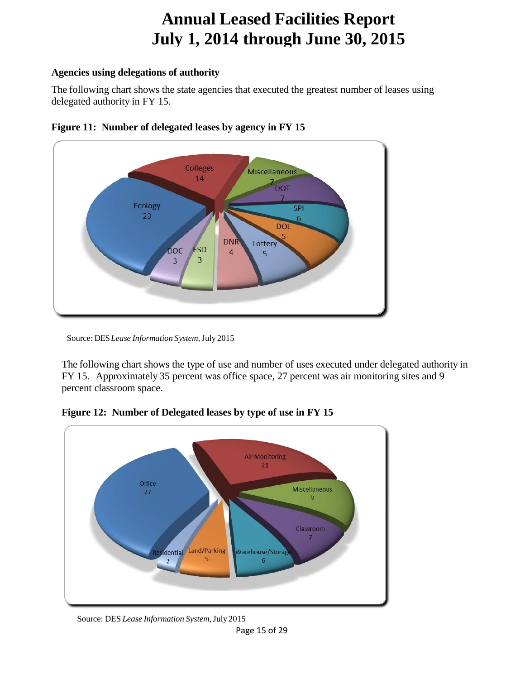#### **Agencies using delegations of authority**

The following chart shows the state agencies that executed the greatest number of leases using delegated authority in FY 15.



<span id="page-14-0"></span>

The following chart shows the type of use and number of uses executed under delegated authority in FY 15. Approximately 35 percent was office space, 27 percent was air monitoring sites and 9 percent classroom space.



<span id="page-14-1"></span>**Figure 12: Number of Delegated leases by type of use in FY 15**

Source: DES *Lease Information System*,July 2015

Source: DES*Lease Information System*,July 2015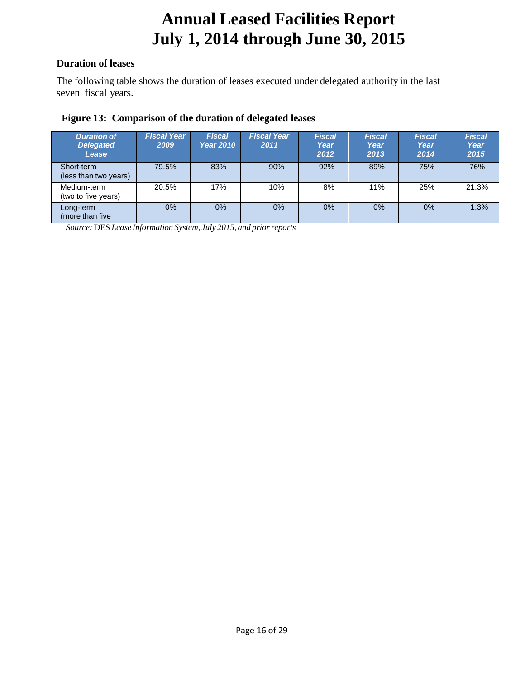#### <span id="page-15-0"></span>**Duration of leases**

The following table shows the duration of leases executed under delegated authority in the last seven fiscal years.

#### <span id="page-15-1"></span>**Figure 13: Comparison of the duration of delegated leases**

| <b>Duration of</b><br><b>Delegated</b><br>Lease | <b>Fiscal Year</b><br>2009 | <b>Fiscal</b><br><b>Year 2010</b> | <b>Fiscal Year</b><br>2011 | <b>Fiscal</b><br>Year<br>2012 | <b>Fiscal</b><br>Year<br>2013 | <b>Fiscal</b><br>Year<br>2014 | <b>Fiscal</b><br>Year<br>2015 |
|-------------------------------------------------|----------------------------|-----------------------------------|----------------------------|-------------------------------|-------------------------------|-------------------------------|-------------------------------|
| Short-term<br>(less than two years)             | 79.5%                      | 83%                               | 90%                        | 92%                           | 89%                           | 75%                           | 76%                           |
| Medium-term<br>(two to five years)              | 20.5%                      | 17%                               | 10%                        | 8%                            | 11%                           | 25%                           | 21.3%                         |
| Long-term<br>(more than five)                   | 0%                         | 0%                                | $0\%$                      | 0%                            | 0%                            | $0\%$                         | 1.3%                          |

*Source:* DES *Lease Information System, July 2015, and priorreports*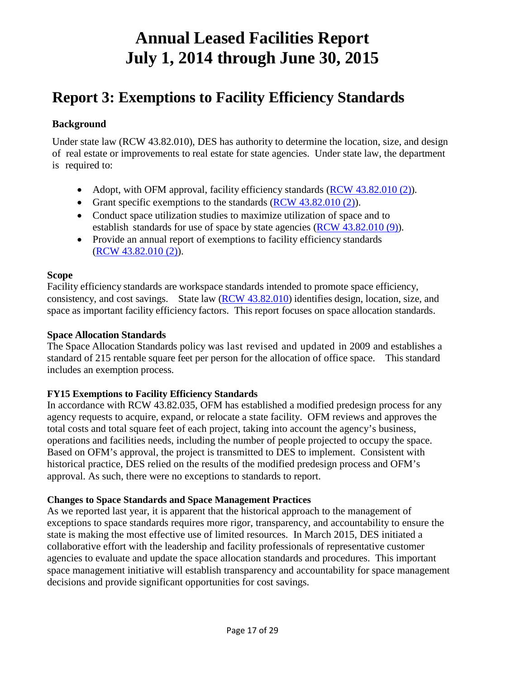### <span id="page-16-0"></span>**Report 3: Exemptions to Facility Efficiency Standards**

#### <span id="page-16-1"></span>**Background**

Under state law (RCW 43.82.010), DES has authority to determine the location, size, and design of real estate or improvements to real estate for state agencies. Under state law, the department is required to:

- Adopt, with OFM approval, facility efficiency standards (RCW [43.82.010](http://apps.leg.wa.gov/rcw/default.aspx?cite=43.82.010) (2)).
- Grant specific exemptions to the standards  $(RCW 43.82.010(2))$  $(RCW 43.82.010(2))$  $(RCW 43.82.010(2))$ .
- Conduct space utilization studies to maximize utilization of space and to establish standards for use of space by state agencies (RCW [43.82.010](http://apps.leg.wa.gov/rcw/default.aspx?cite=43.82.010) (9)).
- Provide an annual report of exemptions to facility efficiency standards (RCW 43.82.010 (2)).

#### <span id="page-16-2"></span>**Scope**

Facility efficiency standards are workspace standards intended to promote space efficiency, consistency, and cost savings. State law (RCW [43.82.010\)](http://apps.leg.wa.gov/rcw/default.aspx?cite=43.82.010) identifies design, location, size, and space as important facility efficiency factors. This report focuses on space allocation standards.

#### <span id="page-16-3"></span>**Space Allocation Standards**

The Space Allocation Standards policy was last revised and updated in 2009 and establishes a standard of 215 rentable square feet per person for the allocation of office space. This standard includes an exemption process.

#### **FY15 Exemptions to Facility Efficiency Standards**

In accordance with RCW 43.82.035, OFM has established a modified predesign process for any agency requests to acquire, expand, or relocate a state facility. OFM reviews and approves the total costs and total square feet of each project, taking into account the agency's business, operations and facilities needs, including the number of people projected to occupy the space. Based on OFM's approval, the project is transmitted to DES to implement. Consistent with historical practice, DES relied on the results of the modified predesign process and OFM's approval. As such, there were no exceptions to standards to report.

#### **Changes to Space Standards and Space Management Practices**

As we reported last year, it is apparent that the historical approach to the management of exceptions to space standards requires more rigor, transparency, and accountability to ensure the state is making the most effective use of limited resources. In March 2015, DES initiated a collaborative effort with the leadership and facility professionals of representative customer agencies to evaluate and update the space allocation standards and procedures. This important space management initiative will establish transparency and accountability for space management decisions and provide significant opportunities for cost savings.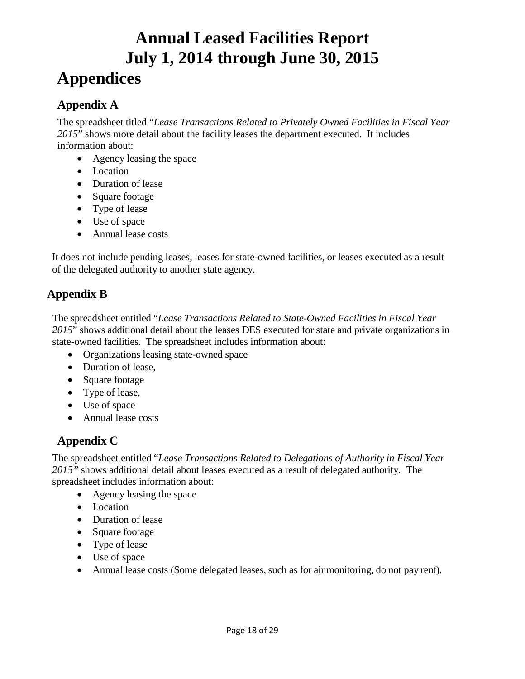# **Annual Leased Facilities Report July 1, 2014 through June 30, 2015 Appendices**

#### <span id="page-17-1"></span><span id="page-17-0"></span>**Appendix A**

The spreadsheet titled "*Lease Transactions Related to Privately Owned Facilities in Fiscal Year* 2015" shows more detail about the facility leases the department executed. It includes information about:

- Agency leasing the space
- Location
- Duration of lease
- Square footage
- Type of lease
- Use of space
- Annual lease costs

It does not include pending leases, leases for state-owned facilities, or leases executed as a result of the delegated authority to another state agency.

#### <span id="page-17-2"></span>**Appendix B**

The spreadsheet entitled "*Lease Transactions Related to State-Owned Facilities in Fiscal Year* 2015" shows additional detail about the leases DES executed for state and private organizations in state-owned facilities. The spreadsheet includes information about:

- Organizations leasing state-owned space
- Duration of lease,
- Square footage
- Type of lease,
- Use of space
- Annual lease costs

#### <span id="page-17-3"></span>**Appendix C**

The spreadsheet entitled "*Lease Transactions Related to Delegations of Authority in Fiscal Year 2015"* shows additional detail about leases executed as a result of delegated authority. The spreadsheet includes information about:

- Agency leasing the space
- Location
- Duration of lease
- Square footage
- Type of lease
- Use of space
- Annual lease costs (Some delegated leases, such as for air monitoring, do not pay rent).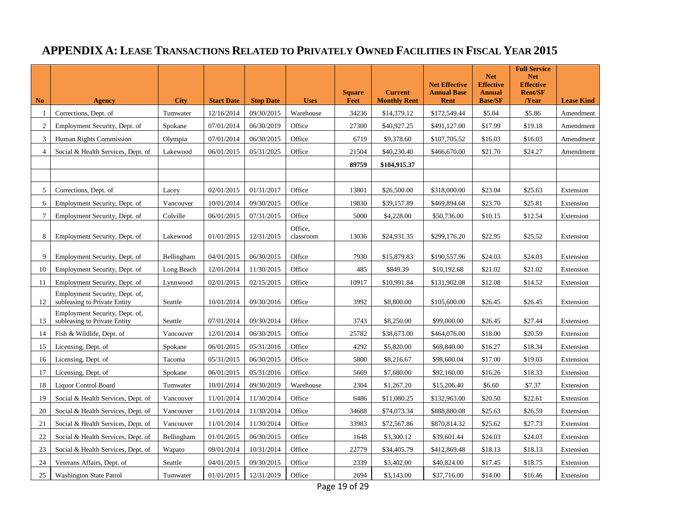### **APPENDIX A: LEASE TRANSACTIONS RELATED TO PRIVATELY OWNED FACILITIES IN FISCAL YEAR 2015**

| N <sub>o</sub> | <b>Agency</b>                                                  | <b>City</b> | <b>Start Date</b> | <b>Stop Date</b> | <b>Uses</b>          | <b>Square</b><br><b>Feet</b> | <b>Current</b><br><b>Monthly Rent</b> | <b>Net Effective</b><br><b>Annual Base</b><br><b>Rent</b> | <b>Net</b><br><b>Effective</b><br><b>Annual</b><br><b>Base/SF</b> | <b>Full Service</b><br><b>Net</b><br><b>Effective</b><br><b>Rent/SF</b><br>$\sqrt{Year}$ | <b>Lease Kind</b> |
|----------------|----------------------------------------------------------------|-------------|-------------------|------------------|----------------------|------------------------------|---------------------------------------|-----------------------------------------------------------|-------------------------------------------------------------------|------------------------------------------------------------------------------------------|-------------------|
| -1             | Corrections, Dept. of                                          | Tumwater    | 12/16/2014        | 09/30/2015       | Warehouse            | 34236                        | \$14,379.12                           | \$172,549.44                                              | \$5.04                                                            | \$5.86                                                                                   | Amendment         |
| $\overline{c}$ | Employment Security, Dept. of                                  | Spokane     | 07/01/2014        | 06/30/2019       | Office               | 27300                        | \$40,927.25                           | \$491,127.00                                              | \$17.99                                                           | \$19.18                                                                                  | Amendment         |
| 3              | Human Rights Commission                                        | Olympia     | 07/01/2014        | 06/30/2015       | Office               | 6719                         | \$9,378.60                            | \$107,705.52                                              | \$16.03                                                           | \$16.03                                                                                  | Amendment         |
| 4              | Social & Health Services, Dept. of                             | Lakewood    | 06/01/2015        | 05/31/2025       | Office               | 21504                        | \$40,230.40                           | \$466,670.00                                              | \$21.70                                                           | \$24.27                                                                                  | Amendment         |
|                |                                                                |             |                   |                  |                      | 89759                        | \$104,915.37                          |                                                           |                                                                   |                                                                                          |                   |
|                |                                                                |             |                   |                  |                      |                              |                                       |                                                           |                                                                   |                                                                                          |                   |
| 5              | Corrections, Dept. of                                          | Lacey       | 02/01/2015        | 01/31/2017       | Office               | 13801                        | \$26,500.00                           | \$318,000.00                                              | \$23.04                                                           | \$25.63                                                                                  | Extension         |
| 6              | Employment Security, Dept. of                                  | Vancouver   | 10/01/2014        | 09/30/2015       | Office               | 19830                        | \$39,157.89                           | \$469,894.68                                              | \$23.70                                                           | \$25.81                                                                                  | Extension         |
| $\tau$         | Employment Security, Dept. of                                  | Colville    | 06/01/2015        | 07/31/2015       | Office               | 5000                         | \$4,228.00                            | \$50,736.00                                               | \$10.15                                                           | \$12.54                                                                                  | Extension         |
| 8              | Employment Security, Dept. of                                  | Lakewood    | 01/01/2015        | 12/31/2015       | Office,<br>classroom | 13036                        | \$24,931.35                           | \$299,176.20                                              | \$22.95                                                           | \$25.52                                                                                  | Extension         |
| 9              | Employment Security, Dept. of                                  | Bellingham  | 04/01/2015        | 06/30/2015       | Office               | 7930                         | \$15,879.83                           | \$190,557.96                                              | \$24.03                                                           | \$24.03                                                                                  | Extension         |
| 10             | Employment Security, Dept. of                                  | Long Beach  | 12/01/2014        | 11/30/2015       | Office               | 485                          | \$849.39                              | \$10,192.68                                               | \$21.02                                                           | \$21.02                                                                                  | Extension         |
| 11             | Employment Security, Dept. of                                  | Lynnwood    | 02/01/2015        | 02/15/2015       | Office               | 10917                        | \$10,991.84                           | \$131,902.08                                              | \$12.08                                                           | \$14.52                                                                                  | Extension         |
| 12             | Employment Security, Dept. of,<br>subleasing to Private Entity | Seattle     | 10/01/2014        | 09/30/2016       | Office               | 3992                         | \$8,800.00                            | \$105,600.00                                              | \$26.45                                                           | \$26.45                                                                                  | Extension         |
| 13             | Employment Security, Dept. of,<br>subleasing to Private Entity | Seattle     | 07/01/2014        | 09/30/2014       | Office               | 3743                         | \$8,250.00                            | \$99,000.00                                               | \$26.45                                                           | \$27.44                                                                                  | Extension         |
| 14             | Fish & Wildlife, Dept. of                                      | Vancouver   | 12/01/2014        | 06/30/2015       | Office               | 25782                        | \$38,673.00                           | \$464,076.00                                              | \$18.00                                                           | \$20.59                                                                                  | Extension         |
| 15             | Licensing, Dept. of                                            | Spokane     | 06/01/2015        | 05/31/2016       | Office               | 4292                         | \$5,820.00                            | \$69,840.00                                               | \$16.27                                                           | \$18.34                                                                                  | Extension         |
| 16             | Licensing, Dept. of                                            | Tacoma      | 05/31/2015        | 06/30/2015       | Office               | 5800                         | \$8,216.67                            | \$98,600.04                                               | \$17.00                                                           | \$19.03                                                                                  | Extension         |
| 17             | Licensing, Dept. of                                            | Spokane     | 06/01/2015        | 05/31/2016       | Office               | 5669                         | \$7,680.00                            | \$92,160.00                                               | \$16.26                                                           | \$18.33                                                                                  | Extension         |
| 18             | Liquor Control Board                                           | Tumwater    | 10/01/2014        | 09/30/2019       | Warehouse            | 2304                         | \$1,267.20                            | \$15,206.40                                               | \$6.60                                                            | \$7.37                                                                                   | Extension         |
| 19             | Social & Health Services, Dept. of                             | Vancouver   | 11/01/2014        | 11/30/2014       | Office               | 6486                         | \$11,080.25                           | \$132,963.00                                              | \$20.50                                                           | \$22.61                                                                                  | Extension         |
| 20             | Social & Health Services, Dept. of                             | Vancouver   | 11/01/2014        | 11/30/2014       | Office               | 34688                        | \$74,073.34                           | \$888,880.08                                              | \$25.63                                                           | \$26.59                                                                                  | Extension         |
| 21             | Social & Health Services, Dept. of                             | Vancouver   | 11/01/2014        | 11/30/2014       | Office               | 33983                        | \$72,567.86                           | \$870,814.32                                              | \$25.62                                                           | \$27.73                                                                                  | Extension         |
| 22             | Social & Health Services, Dept. of                             | Bellingham  | 01/01/2015        | 06/30/2015       | Office               | 1648                         | \$3,300.12                            | \$39,601.44                                               | \$24.03                                                           | \$24.03                                                                                  | Extension         |
| 23             | Social & Health Services, Dept. of                             | Wapato      | 09/01/2014        | 10/31/2014       | Office               | 22779                        | \$34,405.79                           | \$412,869.48                                              | \$18.13                                                           | \$18.13                                                                                  | Extension         |
| 24             | Veterans Affairs, Dept. of                                     | Seattle     | 04/01/2015        | 09/30/2015       | Office               | 2339                         | \$3,402.00                            | \$40,824.00                                               | \$17.45                                                           | \$18.75                                                                                  | Extension         |
| 25             | <b>Washington State Patrol</b>                                 | Tumwater    | 01/01/2015        | 12/31/2019       | Office               | 2694                         | \$3,143.00                            | \$37,716.00                                               | \$14.00                                                           | \$16.46                                                                                  | Extension         |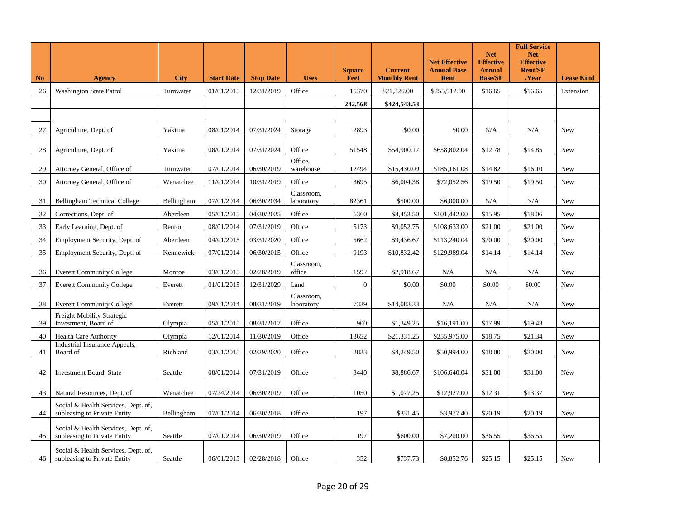| <b>No</b> | <b>Agency</b>                                                       | <b>City</b> | <b>Start Date</b> | <b>Stop Date</b> | <b>Uses</b>              | <b>Square</b><br><b>Feet</b> | <b>Current</b><br><b>Monthly Rent</b> | <b>Net Effective</b><br><b>Annual Base</b><br><b>Rent</b> | <b>Net</b><br><b>Effective</b><br><b>Annual</b><br><b>Base/SF</b> | <b>Full Service</b><br><b>Net</b><br><b>Effective</b><br><b>Rent/SF</b><br>/Year | <b>Lease Kind</b> |
|-----------|---------------------------------------------------------------------|-------------|-------------------|------------------|--------------------------|------------------------------|---------------------------------------|-----------------------------------------------------------|-------------------------------------------------------------------|----------------------------------------------------------------------------------|-------------------|
| 26        | <b>Washington State Patrol</b>                                      | Tumwater    | 01/01/2015        | 12/31/2019       | Office                   | 15370                        | \$21,326.00                           | \$255,912.00                                              | \$16.65                                                           | \$16.65                                                                          | Extension         |
|           |                                                                     |             |                   |                  |                          | 242,568                      | \$424,543.53                          |                                                           |                                                                   |                                                                                  |                   |
|           |                                                                     |             |                   |                  |                          |                              |                                       |                                                           |                                                                   |                                                                                  |                   |
| 27        | Agriculture, Dept. of                                               | Yakima      | 08/01/2014        | 07/31/2024       | Storage                  | 2893                         | \$0.00                                | \$0.00                                                    | N/A                                                               | N/A                                                                              | New               |
| 28        | Agriculture, Dept. of                                               | Yakima      | 08/01/2014        | 07/31/2024       | Office                   | 51548                        | \$54,900.17                           | \$658,802.04                                              | \$12.78                                                           | \$14.85                                                                          | New               |
|           |                                                                     |             |                   |                  | Office,                  |                              |                                       |                                                           |                                                                   |                                                                                  |                   |
| 29        | Attorney General, Office of                                         | Tumwater    | 07/01/2014        | 06/30/2019       | warehouse                | 12494                        | \$15,430.09                           | \$185,161.08                                              | \$14.82                                                           | \$16.10                                                                          | <b>New</b>        |
| 30        | Attorney General, Office of                                         | Wenatchee   | 11/01/2014        | 10/31/2019       | Office                   | 3695                         | \$6,004.38                            | \$72,052.56                                               | \$19.50                                                           | \$19.50                                                                          | New               |
| 31        | <b>Bellingham Technical College</b>                                 | Bellingham  | 07/01/2014        | 06/30/2034       | Classroom,<br>laboratory | 82361                        | \$500.00                              | \$6,000.00                                                | N/A                                                               | N/A                                                                              | New               |
| 32        | Corrections, Dept. of                                               | Aberdeen    | 05/01/2015        | 04/30/2025       | Office                   | 6360                         | \$8,453.50                            | \$101,442.00                                              | \$15.95                                                           | \$18.06                                                                          | <b>New</b>        |
| 33        | Early Learning, Dept. of                                            | Renton      | 08/01/2014        | 07/31/2019       | Office                   | 5173                         | \$9,052.75                            | \$108,633.00                                              | \$21.00                                                           | \$21.00                                                                          | New               |
| 34        | Employment Security, Dept. of                                       | Aberdeen    | 04/01/2015        | 03/31/2020       | Office                   | 5662                         | \$9,436.67                            | \$113,240.04                                              | \$20.00                                                           | \$20.00                                                                          | New               |
| 35        | Employment Security, Dept. of                                       | Kennewick   | 07/01/2014        | 06/30/2015       | Office                   | 9193                         | \$10,832.42                           | \$129,989.04                                              | \$14.14                                                           | \$14.14                                                                          | New               |
| 36        | <b>Everett Community College</b>                                    | Monroe      | 03/01/2015        | 02/28/2019       | Classroom,<br>office     | 1592                         | \$2,918.67                            | N/A                                                       | N/A                                                               | N/A                                                                              | New               |
| 37        | <b>Everett Community College</b>                                    | Everett     | 01/01/2015        | 12/31/2029       | Land                     | $\overline{0}$               | \$0.00                                | \$0.00                                                    | \$0.00                                                            | \$0.00                                                                           | New               |
| 38        | <b>Everett Community College</b>                                    | Everett     | 09/01/2014        | 08/31/2019       | Classroom,<br>laboratory | 7339                         | \$14,083.33                           | N/A                                                       | N/A                                                               | N/A                                                                              | New               |
| 39        | Freight Mobility Strategic<br>Investment, Board of                  | Olympia     | 05/01/2015        | 08/31/2017       | Office                   | 900                          | \$1,349.25                            | \$16,191.00                                               | \$17.99                                                           | \$19.43                                                                          | New               |
| 40        | <b>Health Care Authority</b>                                        | Olympia     | 12/01/2014        | 11/30/2019       | Office                   | 13652                        | \$21,331.25                           | \$255,975.00                                              | \$18.75                                                           | \$21.34                                                                          | New               |
| 41        | Industrial Insurance Appeals,<br>Board of                           | Richland    | 03/01/2015        | 02/29/2020       | Office                   | 2833                         | \$4,249.50                            | \$50,994.00                                               | \$18.00                                                           | \$20.00                                                                          | New               |
| 42        | <b>Investment Board, State</b>                                      | Seattle     | 08/01/2014        | 07/31/2019       | Office                   | 3440                         | \$8,886.67                            | \$106,640.04                                              | \$31.00                                                           | \$31.00                                                                          | New               |
| 43        | Natural Resources, Dept. of                                         | Wenatchee   | 07/24/2014        | 06/30/2019       | Office                   | 1050                         | \$1,077.25                            | \$12,927.00                                               | \$12.31                                                           | \$13.37                                                                          | New               |
| 44        | Social & Health Services, Dept. of,<br>subleasing to Private Entity | Bellingham  | 07/01/2014        | 06/30/2018       | Office                   | 197                          | \$331.45                              | \$3,977.40                                                | \$20.19                                                           | \$20.19                                                                          | New               |
| 45        | Social & Health Services, Dept. of,<br>subleasing to Private Entity | Seattle     | 07/01/2014        | 06/30/2019       | Office                   | 197                          | \$600.00                              | \$7,200.00                                                | \$36.55                                                           | \$36.55                                                                          | New               |
| 46        | Social & Health Services, Dept. of,<br>subleasing to Private Entity | Seattle     | 06/01/2015        | 02/28/2018       | Office                   | 352                          | \$737.73                              | \$8,852.76                                                | \$25.15                                                           | \$25.15                                                                          | New               |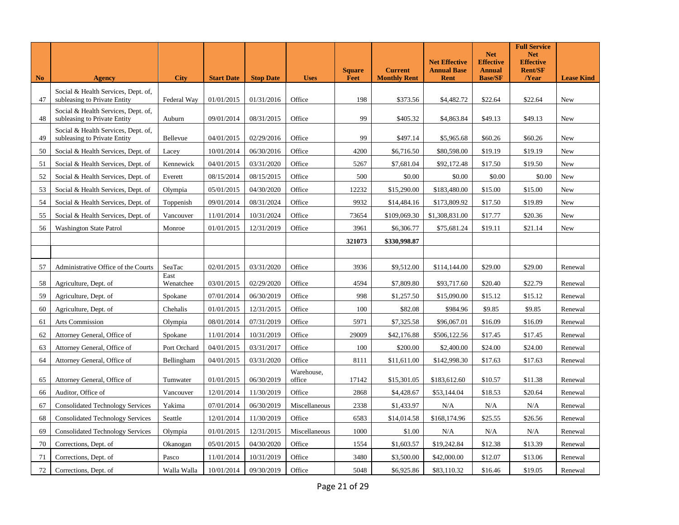| <b>No</b> | <b>Agency</b>                                                       | <b>City</b>       | <b>Start Date</b> | <b>Stop Date</b> | <b>Uses</b>          | <b>Square</b><br><b>Feet</b> | <b>Current</b><br><b>Monthly Rent</b> | <b>Net Effective</b><br><b>Annual Base</b><br><b>Rent</b> | <b>Net</b><br><b>Effective</b><br><b>Annual</b><br><b>Base/SF</b> | <b>Full Service</b><br><b>Net</b><br><b>Effective</b><br><b>Rent/SF</b><br>/Year | <b>Lease Kind</b> |
|-----------|---------------------------------------------------------------------|-------------------|-------------------|------------------|----------------------|------------------------------|---------------------------------------|-----------------------------------------------------------|-------------------------------------------------------------------|----------------------------------------------------------------------------------|-------------------|
|           |                                                                     |                   |                   |                  |                      |                              |                                       |                                                           |                                                                   |                                                                                  |                   |
| 47        | Social & Health Services, Dept. of,<br>subleasing to Private Entity | Federal Way       | 01/01/2015        | 01/31/2016       | Office               | 198                          | \$373.56                              | \$4,482.72                                                | \$22.64                                                           | \$22.64                                                                          | New               |
| 48        | Social & Health Services, Dept. of,<br>subleasing to Private Entity | Auburn            | 09/01/2014        | 08/31/2015       | Office               | 99                           | \$405.32                              | \$4,863.84                                                | \$49.13                                                           | \$49.13                                                                          | New               |
| 49        | Social & Health Services, Dept. of,<br>subleasing to Private Entity | Bellevue          | 04/01/2015        | 02/29/2016       | Office               | 99                           | \$497.14                              | \$5,965.68                                                | \$60.26                                                           | \$60.26                                                                          | New               |
| 50        | Social & Health Services, Dept. of                                  | Lacey             | 10/01/2014        | 06/30/2016       | Office               | 4200                         | \$6,716.50                            | \$80,598.00                                               | \$19.19                                                           | \$19.19                                                                          | New               |
| 51        | Social & Health Services, Dept. of                                  | Kennewick         | 04/01/2015        | 03/31/2020       | Office               | 5267                         | \$7,681.04                            | \$92,172.48                                               | \$17.50                                                           | \$19.50                                                                          | New               |
| 52        | Social & Health Services, Dept. of                                  | Everett           | 08/15/2014        | 08/15/2015       | Office               | 500                          | \$0.00                                | \$0.00                                                    | \$0.00                                                            | \$0.00                                                                           | New               |
| 53        | Social & Health Services, Dept. of                                  | Olympia           | 05/01/2015        | 04/30/2020       | Office               | 12232                        | \$15,290.00                           | \$183,480.00                                              | \$15.00                                                           | \$15.00                                                                          | New               |
| 54        | Social & Health Services, Dept. of                                  | Toppenish         | 09/01/2014        | 08/31/2024       | Office               | 9932                         | \$14,484.16                           | \$173,809.92                                              | \$17.50                                                           | \$19.89                                                                          | New               |
| 55        | Social & Health Services, Dept. of                                  | Vancouver         | 11/01/2014        | 10/31/2024       | Office               | 73654                        | \$109,069.30                          | \$1,308,831.00                                            | \$17.77                                                           | \$20.36                                                                          | New               |
| 56        | <b>Washington State Patrol</b>                                      | Monroe            | 01/01/2015        | 12/31/2019       | Office               | 3961                         | \$6,306.77                            | \$75,681.24                                               | \$19.11                                                           | \$21.14                                                                          | New               |
|           |                                                                     |                   |                   |                  |                      | 321073                       | \$330,998.87                          |                                                           |                                                                   |                                                                                  |                   |
|           |                                                                     |                   |                   |                  |                      |                              |                                       |                                                           |                                                                   |                                                                                  |                   |
| 57        | Administrative Office of the Courts                                 | SeaTac            | 02/01/2015        | 03/31/2020       | Office               | 3936                         | \$9,512.00                            | \$114,144.00                                              | \$29.00                                                           | \$29.00                                                                          | Renewal           |
| 58        | Agriculture, Dept. of                                               | East<br>Wenatchee | 03/01/2015        | 02/29/2020       | Office               | 4594                         | \$7,809.80                            | \$93,717.60                                               | \$20.40                                                           | \$22.79                                                                          | Renewal           |
| 59        | Agriculture, Dept. of                                               | Spokane           | 07/01/2014        | 06/30/2019       | Office               | 998                          | \$1,257.50                            | \$15,090.00                                               | \$15.12                                                           | \$15.12                                                                          | Renewal           |
| 60        | Agriculture, Dept. of                                               | Chehalis          | 01/01/2015        | 12/31/2015       | Office               | 100                          | \$82.08                               | \$984.96                                                  | \$9.85                                                            | \$9.85                                                                           | Renewal           |
| 61        | <b>Arts Commission</b>                                              | Olympia           | 08/01/2014        | 07/31/2019       | Office               | 5971                         | \$7,325.58                            | \$96,067.01                                               | \$16.09                                                           | \$16.09                                                                          | Renewal           |
| 62        | Attorney General, Office of                                         | Spokane           | 11/01/2014        | 10/31/2019       | Office               | 29009                        | \$42,176.88                           | \$506,122.56                                              | \$17.45                                                           | \$17.45                                                                          | Renewal           |
| 63        | Attorney General, Office of                                         | Port Orchard      | 04/01/2015        | 03/31/2017       | Office               | 100                          | \$200.00                              | \$2,400.00                                                | \$24.00                                                           | \$24.00                                                                          | Renewal           |
| 64        | Attorney General, Office of                                         | Bellingham        | 04/01/2015        | 03/31/2020       | Office               | 8111                         | \$11,611.00                           | \$142,998.30                                              | \$17.63                                                           | \$17.63                                                                          | Renewal           |
| 65        | Attorney General, Office of                                         | Tumwater          | 01/01/2015        | 06/30/2019       | Warehouse,<br>office | 17142                        | \$15,301.05                           | \$183,612.60                                              | \$10.57                                                           | \$11.38                                                                          | Renewal           |
| 66        | Auditor, Office of                                                  | Vancouver         | 12/01/2014        | 11/30/2019       | Office               | 2868                         | \$4,428.67                            | \$53,144.04                                               | \$18.53                                                           | \$20.64                                                                          | Renewal           |
| 67        | <b>Consolidated Technology Services</b>                             | Yakima            | 07/01/2014        | 06/30/2019       | Miscellaneous        | 2338                         | \$1,433.97                            | N/A                                                       | N/A                                                               | N/A                                                                              | Renewal           |
| 68        | <b>Consolidated Technology Services</b>                             | Seattle           | 12/01/2014        | 11/30/2019       | Office               | 6583                         | \$14,014.58                           | \$168,174.96                                              | \$25.55                                                           | \$26.56                                                                          | Renewal           |
| 69        | <b>Consolidated Technology Services</b>                             | Olympia           | 01/01/2015        | 12/31/2015       | Miscellaneous        | 1000                         | \$1.00                                | N/A                                                       | N/A                                                               | N/A                                                                              | Renewal           |
| 70        | Corrections, Dept. of                                               | Okanogan          | 05/01/2015        | 04/30/2020       | Office               | 1554                         | \$1,603.57                            | \$19,242.84                                               | \$12.38                                                           | \$13.39                                                                          | Renewal           |
| 71        | Corrections, Dept. of                                               | Pasco             | 11/01/2014        | 10/31/2019       | Office               | 3480                         | \$3,500.00                            | \$42,000.00                                               | \$12.07                                                           | \$13.06                                                                          | Renewal           |
| 72        | Corrections, Dept. of                                               | Walla Walla       | 10/01/2014        | 09/30/2019       | Office               | 5048                         | \$6,925.86                            | \$83,110.32                                               | \$16.46                                                           | \$19.05                                                                          | Renewal           |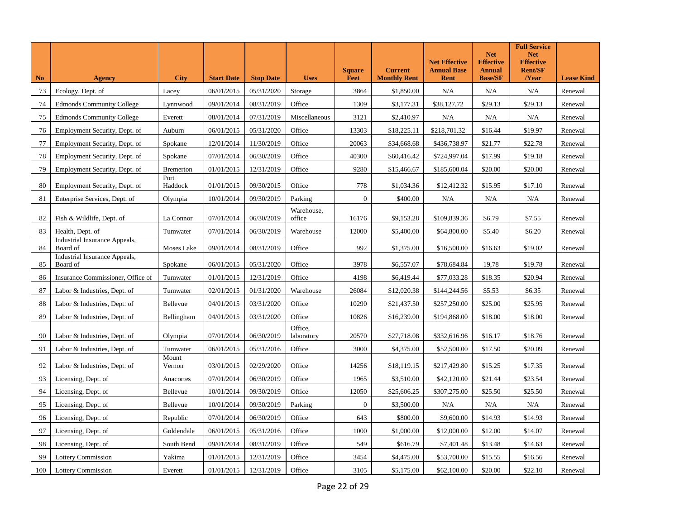| N <sub>o</sub> | <b>Agency</b>                             | <b>City</b>      | <b>Start Date</b> | <b>Stop Date</b> | <b>Uses</b>           | <b>Square</b><br>Feet | <b>Current</b><br><b>Monthly Rent</b> | <b>Net Effective</b><br><b>Annual Base</b><br><b>Rent</b> | <b>Net</b><br><b>Effective</b><br><b>Annual</b><br><b>Base/SF</b> | <b>Full Service</b><br><b>Net</b><br><b>Effective</b><br><b>Rent/SF</b><br>/Year | <b>Lease Kind</b> |
|----------------|-------------------------------------------|------------------|-------------------|------------------|-----------------------|-----------------------|---------------------------------------|-----------------------------------------------------------|-------------------------------------------------------------------|----------------------------------------------------------------------------------|-------------------|
| 73             | Ecology, Dept. of                         | Lacey            | 06/01/2015        | 05/31/2020       | Storage               | 3864                  | \$1,850.00                            | N/A                                                       | N/A                                                               | N/A                                                                              | Renewal           |
| 74             | <b>Edmonds Community College</b>          | Lynnwood         | 09/01/2014        | 08/31/2019       | Office                | 1309                  | \$3,177.31                            | \$38,127.72                                               | \$29.13                                                           | \$29.13                                                                          | Renewal           |
| 75             | <b>Edmonds Community College</b>          | Everett          | 08/01/2014        | 07/31/2019       | Miscellaneous         | 3121                  | \$2,410.97                            | N/A                                                       | N/A                                                               | N/A                                                                              | Renewal           |
| 76             | Employment Security, Dept. of             | Auburn           | 06/01/2015        | 05/31/2020       | Office                | 13303                 | \$18,225.11                           | \$218,701.32                                              | \$16.44                                                           | \$19.97                                                                          | Renewal           |
| 77             | Employment Security, Dept. of             | Spokane          | 12/01/2014        | 11/30/2019       | Office                | 20063                 | \$34,668.68                           | \$436,738.97                                              | \$21.77                                                           | \$22.78                                                                          | Renewal           |
| 78             | Employment Security, Dept. of             | Spokane          | 07/01/2014        | 06/30/2019       | Office                | 40300                 | \$60,416.42                           | \$724,997.04                                              | \$17.99                                                           | \$19.18                                                                          | Renewal           |
| 79             | Employment Security, Dept. of             | <b>Bremerton</b> | 01/01/2015        | 12/31/2019       | Office                | 9280                  | \$15,466.67                           | \$185,600.04                                              | \$20.00                                                           | \$20.00                                                                          | Renewal           |
| 80             | Employment Security, Dept. of             | Port<br>Haddock  | 01/01/2015        | 09/30/2015       | Office                | 778                   | \$1,034.36                            | \$12,412.32                                               | \$15.95                                                           | \$17.10                                                                          | Renewal           |
| 81             | Enterprise Services, Dept. of             | Olympia          | 10/01/2014        | 09/30/2019       | Parking               | $\mathbf{0}$          | \$400.00                              | N/A                                                       | N/A                                                               | N/A                                                                              | Renewal           |
| 82             | Fish & Wildlife, Dept. of                 | La Connor        | 07/01/2014        | 06/30/2019       | Warehouse,<br>office  | 16176                 | \$9,153.28                            | \$109,839.36                                              | \$6.79                                                            | \$7.55                                                                           | Renewal           |
| 83             | Health, Dept. of                          | Tumwater         | 07/01/2014        | 06/30/2019       | Warehouse             | 12000                 | \$5,400.00                            | \$64,800.00                                               | \$5.40                                                            | \$6.20                                                                           | Renewal           |
| 84             | Industrial Insurance Appeals,<br>Board of | Moses Lake       | 09/01/2014        | 08/31/2019       | Office                | 992                   | \$1,375.00                            | \$16,500.00                                               | \$16.63                                                           | \$19.02                                                                          | Renewal           |
| 85             | Industrial Insurance Appeals,<br>Board of | Spokane          | 06/01/2015        | 05/31/2020       | Office                | 3978                  | \$6,557.07                            | \$78,684.84                                               | 19,78                                                             | \$19.78                                                                          | Renewal           |
| 86             | Insurance Commissioner, Office of         | Tumwater         | 01/01/2015        | 12/31/2019       | Office                | 4198                  | \$6,419.44                            | \$77,033.28                                               | \$18.35                                                           | \$20.94                                                                          | Renewal           |
| 87             | Labor & Industries, Dept. of              | Tumwater         | 02/01/2015        | 01/31/2020       | Warehouse             | 26084                 | \$12,020.38                           | \$144,244.56                                              | \$5.53                                                            | \$6.35                                                                           | Renewal           |
| 88             | Labor & Industries, Dept. of              | Bellevue         | 04/01/2015        | 03/31/2020       | Office                | 10290                 | \$21,437.50                           | \$257,250.00                                              | \$25.00                                                           | \$25.95                                                                          | Renewal           |
| 89             | Labor & Industries, Dept. of              | Bellingham       | 04/01/2015        | 03/31/2020       | Office                | 10826                 | \$16,239.00                           | \$194,868.00                                              | \$18.00                                                           | \$18.00                                                                          | Renewal           |
| 90             | Labor & Industries, Dept. of              | Olympia          | 07/01/2014        | 06/30/2019       | Office,<br>laboratory | 20570                 | \$27,718.08                           | \$332,616.96                                              | \$16.17                                                           | \$18.76                                                                          | Renewal           |
| 91             | Labor & Industries, Dept. of              | Tumwater         | 06/01/2015        | 05/31/2016       | Office                | 3000                  | \$4,375.00                            | \$52,500.00                                               | \$17.50                                                           | \$20.09                                                                          | Renewal           |
| 92             | Labor & Industries, Dept. of              | Mount<br>Vernon  | 03/01/2015        | 02/29/2020       | Office                | 14256                 | \$18,119.15                           | \$217,429.80                                              | \$15.25                                                           | \$17.35                                                                          | Renewal           |
| 93             | Licensing, Dept. of                       | Anacortes        | 07/01/2014        | 06/30/2019       | Office                | 1965                  | \$3,510.00                            | \$42,120.00                                               | \$21.44                                                           | \$23.54                                                                          | Renewal           |
| 94             | Licensing, Dept. of                       | Bellevue         | 10/01/2014        | 09/30/2019       | Office                | 12050                 | \$25,606.25                           | \$307,275.00                                              | \$25.50                                                           | \$25.50                                                                          | Renewal           |
| 95             | Licensing, Dept. of                       | Bellevue         | 10/01/2014        | 09/30/2019       | Parking               | $\overline{0}$        | \$3,500.00                            | N/A                                                       | N/A                                                               | N/A                                                                              | Renewal           |
| 96             | Licensing, Dept. of                       | Republic         | 07/01/2014        | 06/30/2019       | Office                | 643                   | \$800.00                              | \$9,600.00                                                | \$14.93                                                           | \$14.93                                                                          | Renewal           |
| 97             | Licensing, Dept. of                       | Goldendale       | 06/01/2015        | 05/31/2016       | Office                | 1000                  | \$1,000.00                            | \$12,000.00                                               | \$12.00                                                           | \$14.07                                                                          | Renewal           |
| 98             | Licensing, Dept. of                       | South Bend       | 09/01/2014        | 08/31/2019       | Office                | 549                   | \$616.79                              | \$7,401.48                                                | \$13.48                                                           | \$14.63                                                                          | Renewal           |
| 99             | <b>Lottery Commission</b>                 | Yakima           | 01/01/2015        | 12/31/2019       | Office                | 3454                  | \$4,475.00                            | \$53,700.00                                               | \$15.55                                                           | \$16.56                                                                          | Renewal           |
| 100            | <b>Lottery Commission</b>                 | Everett          | 01/01/2015        | 12/31/2019       | Office                | 3105                  | \$5,175.00                            | \$62,100.00                                               | \$20.00                                                           | \$22.10                                                                          | Renewal           |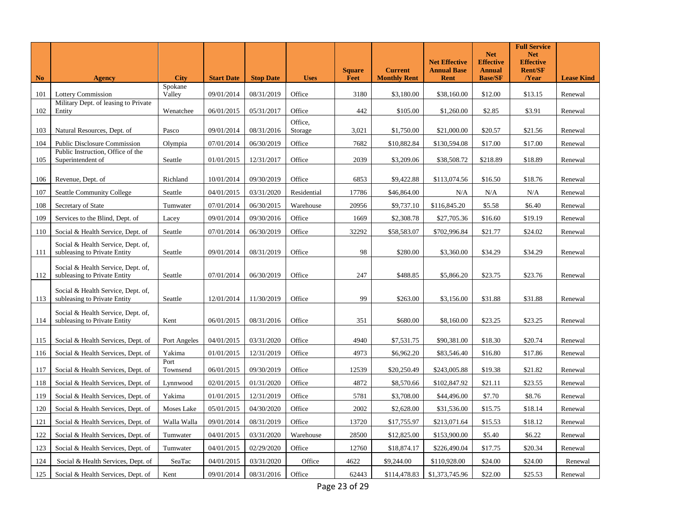| <b>No</b> | <b>Agency</b>                                                      | <b>City</b>       | <b>Start Date</b> | <b>Stop Date</b> | <b>Uses</b>        | <b>Square</b><br>Feet | <b>Current</b><br><b>Monthly Rent</b> | <b>Net Effective</b><br><b>Annual Base</b><br><b>Rent</b> | <b>Net</b><br><b>Effective</b><br><b>Annual</b><br><b>Base/SF</b> | <b>Full Service</b><br><b>Net</b><br><b>Effective</b><br><b>Rent/SF</b><br>/Year | <b>Lease Kind</b> |
|-----------|--------------------------------------------------------------------|-------------------|-------------------|------------------|--------------------|-----------------------|---------------------------------------|-----------------------------------------------------------|-------------------------------------------------------------------|----------------------------------------------------------------------------------|-------------------|
| 101       | <b>Lottery Commission</b>                                          | Spokane<br>Valley | 09/01/2014        | 08/31/2019       | Office             | 3180                  | \$3,180.00                            | \$38,160.00                                               | \$12.00                                                           | \$13.15                                                                          | Renewal           |
| 102       | Military Dept. of leasing to Private<br>Entity                     | Wenatchee         | 06/01/2015        | 05/31/2017       | Office             | 442                   | \$105.00                              | \$1,260.00                                                | \$2.85                                                            | \$3.91                                                                           | Renewal           |
| 103       | Natural Resources, Dept. of                                        | Pasco             | 09/01/2014        | 08/31/2016       | Office,<br>Storage | 3,021                 | \$1,750.00                            | \$21,000.00                                               | \$20.57                                                           | \$21.56                                                                          | Renewal           |
| 104       | Public Disclosure Commission                                       | Olympia           | 07/01/2014        | 06/30/2019       | Office             | 7682                  | \$10,882.84                           | \$130,594.08                                              | \$17.00                                                           | \$17.00                                                                          | Renewal           |
| 105       | Public Instruction, Office of the<br>Superintendent of             | Seattle           | 01/01/2015        | 12/31/2017       | Office             | 2039                  | \$3,209.06                            | \$38,508.72                                               | \$218.89                                                          | \$18.89                                                                          | Renewal           |
| 106       | Revenue, Dept. of                                                  | Richland          | 10/01/2014        | 09/30/2019       | Office             | 6853                  | \$9,422.88                            | \$113,074.56                                              | \$16.50                                                           | \$18.76                                                                          | Renewal           |
| 107       | Seattle Community College                                          | Seattle           | 04/01/2015        | 03/31/2020       | Residential        | 17786                 | \$46,864.00                           | N/A                                                       | N/A                                                               | N/A                                                                              | Renewal           |
| 108       | Secretary of State                                                 | Tumwater          | 07/01/2014        | 06/30/2015       | Warehouse          | 20956                 | \$9,737.10                            | \$116,845.20                                              | \$5.58                                                            | \$6.40                                                                           | Renewal           |
| 109       | Services to the Blind, Dept. of                                    | Lacey             | 09/01/2014        | 09/30/2016       | Office             | 1669                  | \$2,308.78                            | \$27,705.36                                               | \$16.60                                                           | \$19.19                                                                          | Renewal           |
| 110       | Social & Health Service, Dept. of                                  | Seattle           | 07/01/2014        | 06/30/2019       | Office             | 32292                 | \$58,583.07                           | \$702,996.84                                              | \$21.77                                                           | \$24.02                                                                          | Renewal           |
| 111       | Social & Health Service, Dept. of,<br>subleasing to Private Entity | Seattle           | 09/01/2014        | 08/31/2019       | Office             | 98                    | \$280.00                              | \$3,360.00                                                | \$34.29                                                           | \$34.29                                                                          | Renewal           |
| 112       | Social & Health Service, Dept. of,<br>subleasing to Private Entity | Seattle           | 07/01/2014        | 06/30/2019       | Office             | 247                   | \$488.85                              | \$5,866.20                                                | \$23.75                                                           | \$23.76                                                                          | Renewal           |
| 113       | Social & Health Service, Dept. of,<br>subleasing to Private Entity | Seattle           | 12/01/2014        | 11/30/2019       | Office             | 99                    | \$263.00                              | \$3,156.00                                                | \$31.88                                                           | \$31.88                                                                          | Renewal           |
| 114       | Social & Health Service, Dept. of,<br>subleasing to Private Entity | Kent              | 06/01/2015        | 08/31/2016       | Office             | 351                   | \$680.00                              | \$8,160.00                                                | \$23.25                                                           | \$23.25                                                                          | Renewal           |
| 115       | Social & Health Services, Dept. of                                 | Port Angeles      | 04/01/2015        | 03/31/2020       | Office             | 4940                  | \$7,531.75                            | \$90,381.00                                               | \$18.30                                                           | \$20.74                                                                          | Renewal           |
| 116       | Social & Health Services, Dept. of                                 | Yakima            | 01/01/2015        | 12/31/2019       | Office             | 4973                  | \$6,962.20                            | \$83,546.40                                               | \$16.80                                                           | \$17.86                                                                          | Renewal           |
| 117       | Social & Health Services, Dept. of                                 | Port<br>Townsend  | 06/01/2015        | 09/30/2019       | Office             | 12539                 | \$20,250.49                           | \$243,005.88                                              | \$19.38                                                           | \$21.82                                                                          | Renewal           |
| 118       | Social & Health Services, Dept. of                                 | Lynnwood          | 02/01/2015        | 01/31/2020       | Office             | 4872                  | \$8,570.66                            | \$102,847.92                                              | \$21.11                                                           | \$23.55                                                                          | Renewal           |
| 119       | Social & Health Services, Dept. of                                 | Yakima            | 01/01/2015        | 12/31/2019       | Office             | 5781                  | \$3,708.00                            | \$44,496.00                                               | \$7.70                                                            | \$8.76                                                                           | Renewal           |
| 120       | Social & Health Services, Dept. of                                 | Moses Lake        | 05/01/2015        | 04/30/2020       | Office             | 2002                  | \$2,628.00                            | \$31,536.00                                               | \$15.75                                                           | \$18.14                                                                          | Renewal           |
| 121       | Social & Health Services, Dept. of                                 | Walla Walla       | 09/01/2014        | 08/31/2019       | Office             | 13720                 | \$17,755.97                           | \$213,071.64                                              | \$15.53                                                           | \$18.12                                                                          | Renewal           |
| 122       | Social & Health Services, Dept. of                                 | Tumwater          | 04/01/2015        | 03/31/2020       | Warehouse          | 28500                 | \$12,825.00                           | \$153,900.00                                              | \$5.40                                                            | \$6.22                                                                           | Renewal           |
| 123       | Social & Health Services, Dept. of                                 | Tumwater          | 04/01/2015        | 02/29/2020       | Office             | 12760                 | \$18,874.17                           | \$226,490.04                                              | \$17.75                                                           | \$20.34                                                                          | Renewal           |
| 124       | Social & Health Services, Dept. of                                 | SeaTac            | 04/01/2015        | 03/31/2020       | Office             | 4622                  | \$9,244.00                            | \$110,928.00                                              | \$24.00                                                           | \$24.00                                                                          | Renewal           |
| 125       | Social & Health Services, Dept. of                                 | Kent              | 09/01/2014        | 08/31/2016       | Office             | 62443                 | \$114,478.83                          | \$1,373,745.96                                            | \$22.00                                                           | \$25.53                                                                          | Renewal           |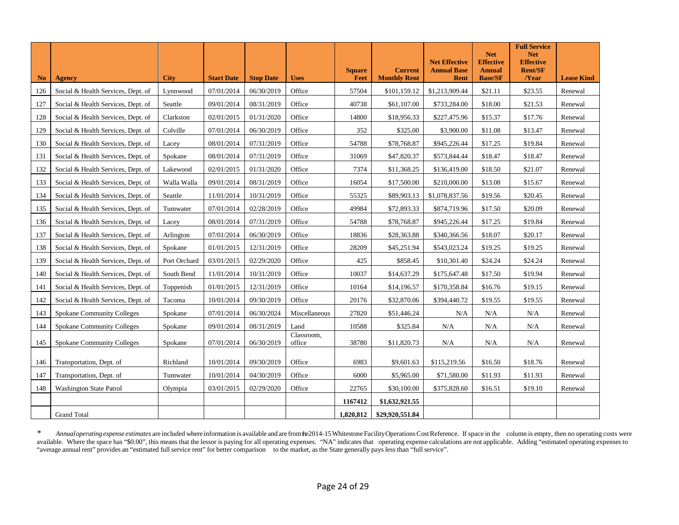|                |                                    |              |                   |                  |                      |               |                     |                                            | <b>Net</b>                        | <b>Full Service</b><br><b>Net</b>  |                   |
|----------------|------------------------------------|--------------|-------------------|------------------|----------------------|---------------|---------------------|--------------------------------------------|-----------------------------------|------------------------------------|-------------------|
|                |                                    |              |                   |                  |                      | <b>Square</b> | <b>Current</b>      | <b>Net Effective</b><br><b>Annual Base</b> | <b>Effective</b><br><b>Annual</b> | <b>Effective</b><br><b>Rent/SF</b> |                   |
| N <sub>0</sub> | <b>Agency</b>                      | <b>City</b>  | <b>Start Date</b> | <b>Stop Date</b> | <b>Uses</b>          | Feet          | <b>Monthly Rent</b> | <b>Rent</b>                                | <b>Base/SF</b>                    | /Year                              | <b>Lease Kind</b> |
| 126            | Social & Health Services, Dept. of | Lynnwood     | 07/01/2014        | 06/30/2019       | Office               | 57504         | \$101,159.12        | \$1,213,909.44                             | \$21.11                           | \$23.55                            | Renewal           |
| 127            | Social & Health Services, Dept. of | Seattle      | 09/01/2014        | 08/31/2019       | Office               | 40738         | \$61,107.00         | \$733,284.00                               | \$18.00                           | \$21.53                            | Renewal           |
| 128            | Social & Health Services, Dept. of | Clarkston    | 02/01/2015        | 01/31/2020       | Office               | 14800         | \$18,956.33         | \$227,475.96                               | \$15.37                           | \$17.76                            | Renewal           |
| 129            | Social & Health Services, Dept. of | Colville     | 07/01/2014        | 06/30/2019       | Office               | 352           | \$325.00            | \$3,900.00                                 | \$11.08                           | \$13.47                            | Renewal           |
| 130            | Social & Health Services, Dept. of | Lacey        | 08/01/2014        | 07/31/2019       | Office               | 54788         | \$78,768.87         | \$945,226.44                               | \$17.25                           | \$19.84                            | Renewal           |
| 131            | Social & Health Services, Dept. of | Spokane      | 08/01/2014        | 07/31/2019       | Office               | 31069         | \$47,820.37         | \$573,844.44                               | \$18.47                           | \$18.47                            | Renewal           |
| 132            | Social & Health Services, Dept. of | Lakewood     | 02/01/2015        | 01/31/2020       | Office               | 7374          | \$11,368.25         | \$136,419.00                               | \$18.50                           | \$21.07                            | Renewal           |
| 133            | Social & Health Services, Dept. of | Walla Walla  | 09/01/2014        | 08/31/2019       | Office               | 16054         | \$17,500.00         | \$210,000.00                               | \$13.08                           | \$15.67                            | Renewal           |
| 134            | Social & Health Services, Dept. of | Seattle      | 11/01/2014        | 10/31/2019       | Office               | 55325         | \$89,903.13         | \$1,078,837.56                             | \$19.56                           | \$20.45                            | Renewal           |
| 135            | Social & Health Services, Dept. of | Tumwater     | 07/01/2014        | 02/28/2019       | Office               | 49984         | \$72,893.33         | \$874,719.96                               | \$17.50                           | \$20.09                            | Renewal           |
| 136            | Social & Health Services, Dept. of | Lacey        | 08/01/2014        | 07/31/2019       | Office               | 54788         | \$78,768.87         | \$945,226.44                               | \$17.25                           | \$19.84                            | Renewal           |
| 137            | Social & Health Services, Dept. of | Arlington    | 07/01/2014        | 06/30/2019       | Office               | 18836         | \$28,363.88         | \$340,366.56                               | \$18.07                           | \$20.17                            | Renewal           |
| 138            | Social & Health Services, Dept. of | Spokane      | 01/01/2015        | 12/31/2019       | Office               | 28209         | \$45,251.94         | \$543,023.24                               | \$19.25                           | \$19.25                            | Renewal           |
| 139            | Social & Health Services, Dept. of | Port Orchard | 03/01/2015        | 02/29/2020       | Office               | 425           | \$858.45            | \$10,301.40                                | \$24.24                           | \$24.24                            | Renewal           |
| 140            | Social & Health Services, Dept. of | South Bend   | 11/01/2014        | 10/31/2019       | Office               | 10037         | \$14,637.29         | \$175,647.48                               | \$17.50                           | \$19.94                            | Renewal           |
| 141            | Social & Health Services, Dept. of | Toppenish    | 01/01/2015        | 12/31/2019       | Office               | 10164         | \$14,196.57         | \$170,358.84                               | \$16.76                           | \$19.15                            | Renewal           |
| 142            | Social & Health Services, Dept. of | Tacoma       | 10/01/2014        | 09/30/2019       | Office               | 20176         | \$32,870.06         | \$394,440.72                               | \$19.55                           | \$19.55                            | Renewal           |
| 143            | <b>Spokane Community Colleges</b>  | Spokane      | 07/01/2014        | 06/30/2024       | Miscellaneous        | 27820         | \$51,446.24         | N/A                                        | N/A                               | N/A                                | Renewal           |
| 144            | <b>Spokane Community Colleges</b>  | Spokane      | 09/01/2014        | 08/31/2019       | Land                 | 10588         | \$325.84            | N/A                                        | N/A                               | N/A                                | Renewal           |
| 145            | <b>Spokane Community Colleges</b>  | Spokane      | 07/01/2014        | 06/30/2019       | Classroom,<br>office | 38780         | \$11,820.73         | N/A                                        | N/A                               | N/A                                | Renewal           |
| 146            | Transportation, Dept. of           | Richland     | 10/01/2014        | 09/30/2019       | Office               | 6983          | \$9,601.63          | \$115,219.56                               | \$16.50                           | \$18.76                            | Renewal           |
| 147            | Transportation, Dept. of           | Tumwater     | 10/01/2014        | 04/30/2019       | Office               | 6000          | \$5,965.00          | \$71,580.00                                | \$11.93                           | \$11.93                            | Renewal           |
| 148            | <b>Washington State Patrol</b>     | Olympia      | 03/01/2015        | 02/29/2020       | Office               | 22765         | \$30,100.00         | \$375,828.60                               | \$16.51                           | \$19.10                            | Renewal           |
|                |                                    |              |                   |                  |                      | 1167412       | \$1,632,921.55      |                                            |                                   |                                    |                   |
|                | <b>Grand Total</b>                 |              |                   |                  |                      | 1,820,812     | \$29,920,551.84     |                                            |                                   |                                    |                   |

\* Annual operating expense estimates are included where information is available and are from te2014-15 Whitestone Facility Operations Cost Reference. If space in the column is empty, then no operating costs were available. Where the space has "\$0.00", this means that the lessor is paying for all operating expenses. "NA" indicates that operating expense calculations are not applicable. Adding "estimated operating expenses to "average annual rent" provides an "estimated full service rent" for better comparison to the market, asthe State generally pays less than "full service".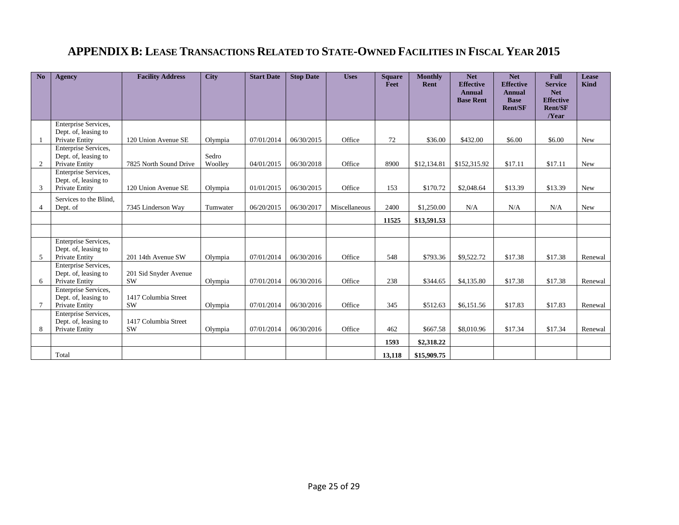#### **APPENDIX B: LEASE TRANSACTIONS RELATED TO STATE-OWNED FACILITIES IN FISCAL YEAR 2015**

| No              | <b>Agency</b>                                                  | <b>Facility Address</b>            | <b>City</b>      | <b>Start Date</b> | <b>Stop Date</b> | <b>Uses</b>   | <b>Square</b><br>Feet | <b>Monthly</b><br>Rent | <b>Net</b><br><b>Effective</b><br><b>Annual</b><br><b>Base Rent</b> | <b>Net</b><br><b>Effective</b><br><b>Annual</b><br><b>Base</b><br><b>Rent/SF</b> | <b>Full</b><br><b>Service</b><br><b>Net</b><br><b>Effective</b><br><b>Rent/SF</b><br>/Year | Lease<br><b>Kind</b> |
|-----------------|----------------------------------------------------------------|------------------------------------|------------------|-------------------|------------------|---------------|-----------------------|------------------------|---------------------------------------------------------------------|----------------------------------------------------------------------------------|--------------------------------------------------------------------------------------------|----------------------|
|                 | Enterprise Services,<br>Dept. of, leasing to<br>Private Entity | 120 Union Avenue SE                | Olympia          | 07/01/2014        | 06/30/2015       | Office        | 72                    | \$36.00                | \$432.00                                                            | \$6.00                                                                           | \$6.00                                                                                     | New                  |
| 2               | Enterprise Services,<br>Dept. of, leasing to<br>Private Entity | 7825 North Sound Drive             | Sedro<br>Woolley | 04/01/2015        | 06/30/2018       | Office        | 8900                  | \$12,134.81            | \$152,315.92                                                        | \$17.11                                                                          | \$17.11                                                                                    | <b>New</b>           |
| 3               | Enterprise Services,<br>Dept. of, leasing to<br>Private Entity | 120 Union Avenue SE                | Olympia          | 01/01/2015        | 06/30/2015       | Office        | 153                   | \$170.72               | \$2,048.64                                                          | \$13.39                                                                          | \$13.39                                                                                    | New                  |
| 4               | Services to the Blind,<br>Dept. of                             | 7345 Linderson Way                 | Tumwater         | 06/20/2015        | 06/30/2017       | Miscellaneous | 2400                  | \$1,250.00             | N/A                                                                 | N/A                                                                              | N/A                                                                                        | New                  |
|                 |                                                                |                                    |                  |                   |                  |               | 11525                 | \$13,591.53            |                                                                     |                                                                                  |                                                                                            |                      |
|                 |                                                                |                                    |                  |                   |                  |               |                       |                        |                                                                     |                                                                                  |                                                                                            |                      |
| 5               | Enterprise Services,<br>Dept. of, leasing to<br>Private Entity | 201 14th Avenue SW                 | Olympia          | 07/01/2014        | 06/30/2016       | Office        | 548                   | \$793.36               | \$9,522.72                                                          | \$17.38                                                                          | \$17.38                                                                                    | Renewal              |
| 6               | Enterprise Services,<br>Dept. of, leasing to<br>Private Entity | 201 Sid Snyder Avenue<br><b>SW</b> | Olympia          | 07/01/2014        | 06/30/2016       | Office        | 238                   | \$344.65               | \$4,135.80                                                          | \$17.38                                                                          | \$17.38                                                                                    | Renewal              |
| $7\phantom{.0}$ | Enterprise Services,<br>Dept. of, leasing to<br>Private Entity | 1417 Columbia Street<br><b>SW</b>  | Olympia          | 07/01/2014        | 06/30/2016       | Office        | 345                   | \$512.63               | \$6,151.56                                                          | \$17.83                                                                          | \$17.83                                                                                    | Renewal              |
| 8               | Enterprise Services,<br>Dept. of, leasing to<br>Private Entity | 1417 Columbia Street<br><b>SW</b>  | Olympia          | 07/01/2014        | 06/30/2016       | Office        | 462                   | \$667.58               | \$8,010.96                                                          | \$17.34                                                                          | \$17.34                                                                                    | Renewal              |
|                 |                                                                |                                    |                  |                   |                  |               | 1593                  | \$2,318.22             |                                                                     |                                                                                  |                                                                                            |                      |
|                 | Total                                                          |                                    |                  |                   |                  |               | 13,118                | \$15,909.75            |                                                                     |                                                                                  |                                                                                            |                      |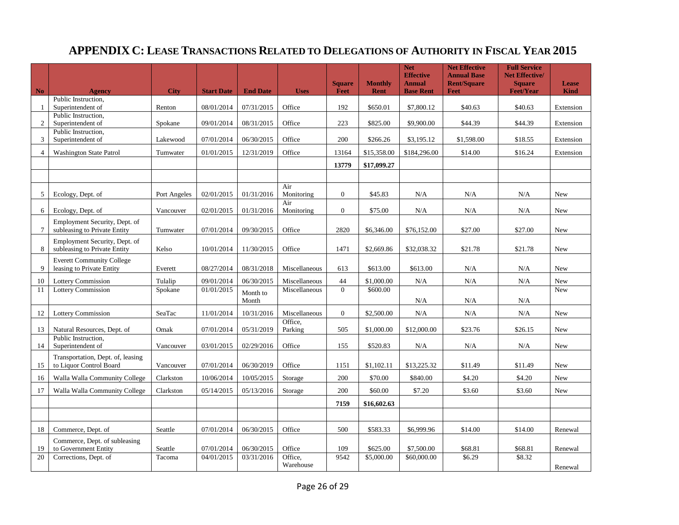### **APPENDIX C: LEASE TRANSACTIONS RELATED TO DELEGATIONS OF AUTHORITY IN FISCAL YEAR 2015**

|                 |                                                               |              |                   |                   |                      | <b>Square</b>  | <b>Monthly</b> | <b>Net</b><br><b>Effective</b><br><b>Annual</b> | <b>Net Effective</b><br><b>Annual Base</b><br><b>Rent/Square</b> | <b>Full Service</b><br><b>Net Effective/</b><br><b>Square</b> | <b>Lease</b> |
|-----------------|---------------------------------------------------------------|--------------|-------------------|-------------------|----------------------|----------------|----------------|-------------------------------------------------|------------------------------------------------------------------|---------------------------------------------------------------|--------------|
| $\mathbf{No}$   | <b>Agency</b>                                                 | <b>City</b>  | <b>Start Date</b> | <b>End Date</b>   | <b>Uses</b>          | Feet           | Rent           | <b>Base Rent</b>                                | <b>Feet</b>                                                      | <b>Feet/Year</b>                                              | <b>Kind</b>  |
| -1              | Public Instruction.<br>Superintendent of                      | Renton       | 08/01/2014        | 07/31/2015        | Office               | 192            | \$650.01       | \$7,800.12                                      | \$40.63                                                          | \$40.63                                                       | Extension    |
| 2               | Public Instruction.<br>Superintendent of                      | Spokane      | 09/01/2014        | 08/31/2015        | Office               | 223            | \$825.00       | \$9,900.00                                      | \$44.39                                                          | \$44.39                                                       | Extension    |
| 3               | Public Instruction,<br>Superintendent of                      | Lakewood     | 07/01/2014        | 06/30/2015        | Office               | 200            | \$266.26       | \$3,195.12                                      | \$1,598.00                                                       | \$18.55                                                       | Extension    |
| $\overline{4}$  | <b>Washington State Patrol</b>                                | Tumwater     | 01/01/2015        | 12/31/2019        | Office               | 13164          | \$15,358.00    | \$184,296.00                                    | \$14.00                                                          | \$16.24                                                       | Extension    |
|                 |                                                               |              |                   |                   |                      | 13779          | \$17,099.27    |                                                 |                                                                  |                                                               |              |
|                 |                                                               |              |                   |                   |                      |                |                |                                                 |                                                                  |                                                               |              |
| 5               | Ecology, Dept. of                                             | Port Angeles | 02/01/2015        | 01/31/2016        | Air<br>Monitoring    | $\overline{0}$ | \$45.83        | N/A                                             | N/A                                                              | N/A                                                           | New          |
| 6               | Ecology, Dept. of                                             | Vancouver    | 02/01/2015        | 01/31/2016        | Air<br>Monitoring    | $\Omega$       | \$75.00        | N/A                                             | N/A                                                              | N/A                                                           | <b>New</b>   |
| $7\phantom{.0}$ | Employment Security, Dept. of<br>subleasing to Private Entity | Tumwater     | 07/01/2014        | 09/30/2015        | Office               | 2820           | \$6,346.00     | \$76,152.00                                     | \$27.00                                                          | \$27.00                                                       | New          |
| 8               | Employment Security, Dept. of<br>subleasing to Private Entity | Kelso        | 10/01/2014        | 11/30/2015        | Office               | 1471           | \$2,669.86     | \$32,038.32                                     | \$21.78                                                          | \$21.78                                                       | New          |
| 9               | <b>Everett Community College</b><br>leasing to Private Entity | Everett      | 08/27/2014        | 08/31/2018        | Miscellaneous        | 613            | \$613.00       | \$613.00                                        | N/A                                                              | N/A                                                           | <b>New</b>   |
| 10              | <b>Lottery Commission</b>                                     | Tulalip      | 09/01/2014        | 06/30/2015        | Miscellaneous        | 44             | \$1,000.00     | N/A                                             | N/A                                                              | N/A                                                           | New          |
| 11              | Lottery Commission                                            | Spokane      | 01/01/2015        | Month to<br>Month | Miscellaneous        | $\overline{0}$ | \$600.00       | N/A                                             | N/A                                                              | N/A                                                           | New          |
| 12              | <b>Lottery Commission</b>                                     | SeaTac       | 11/01/2014        | 10/31/2016        | Miscellaneous        | $\overline{0}$ | \$2,500.00     | N/A                                             | N/A                                                              | N/A                                                           | New          |
| 13              | Natural Resources, Dept. of                                   | Omak         | 07/01/2014        | 05/31/2019        | Office,<br>Parking   | 505            | \$1,000.00     | \$12,000.00                                     | \$23.76                                                          | \$26.15                                                       | New          |
| 14              | Public Instruction,<br>Superintendent of                      | Vancouver    | 03/01/2015        | 02/29/2016        | Office               | 155            | \$520.83       | N/A                                             | N/A                                                              | N/A                                                           | <b>New</b>   |
| 15              | Transportation, Dept. of, leasing<br>to Liquor Control Board  | Vancouver    | 07/01/2014        | 06/30/2019        | Office               | 1151           | \$1,102.11     | \$13,225.32                                     | \$11.49                                                          | \$11.49                                                       | <b>New</b>   |
| 16              | Walla Walla Community College                                 | Clarkston    | 10/06/2014        | 10/05/2015        | Storage              | 200            | \$70.00        | \$840.00                                        | \$4.20                                                           | \$4.20                                                        | New          |
| 17              | Walla Walla Community College                                 | Clarkston    | 05/14/2015        | 05/13/2016        | Storage              | 200            | \$60.00        | \$7.20                                          | \$3.60                                                           | \$3.60                                                        | New          |
|                 |                                                               |              |                   |                   |                      | 7159           | \$16,602.63    |                                                 |                                                                  |                                                               |              |
|                 |                                                               |              |                   |                   |                      |                |                |                                                 |                                                                  |                                                               |              |
| 18              | Commerce, Dept. of                                            | Seattle      | 07/01/2014        | 06/30/2015        | Office               | 500            | \$583.33       | \$6,999.96                                      | \$14.00                                                          | \$14.00                                                       | Renewal      |
| 19              | Commerce, Dept. of subleasing<br>to Government Entity         | Seattle      | 07/01/2014        | 06/30/2015        | Office               | 109            | \$625.00       | \$7,500.00                                      | \$68.81                                                          | \$68.81                                                       | Renewal      |
| 20              | Corrections, Dept. of                                         | Tacoma       | 04/01/2015        | 03/31/2016        | Office.<br>Warehouse | 9542           | \$5,000.00     | \$60,000.00                                     | \$6.29                                                           | \$8.32                                                        | Renewal      |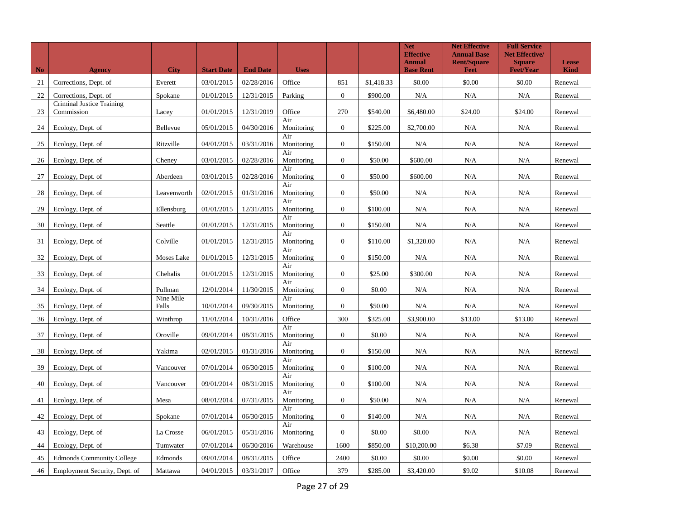| N <sub>o</sub> | <b>Agency</b>                           | <b>City</b>        | <b>Start Date</b> | <b>End Date</b> | <b>Uses</b>       |                  |            | <b>Net</b><br><b>Effective</b><br><b>Annual</b><br><b>Base Rent</b> | <b>Net Effective</b><br><b>Annual Base</b><br><b>Rent/Square</b><br><b>Feet</b> | <b>Full Service</b><br><b>Net Effective/</b><br><b>Square</b><br><b>Feet/Year</b> | <b>Lease</b><br><b>Kind</b> |
|----------------|-----------------------------------------|--------------------|-------------------|-----------------|-------------------|------------------|------------|---------------------------------------------------------------------|---------------------------------------------------------------------------------|-----------------------------------------------------------------------------------|-----------------------------|
| 21             | Corrections, Dept. of                   | Everett            | 03/01/2015        | 02/28/2016      | Office            | 851              | \$1,418.33 | \$0.00                                                              | \$0.00                                                                          | \$0.00                                                                            | Renewal                     |
| 22             | Corrections, Dept. of                   | Spokane            | 01/01/2015        | 12/31/2015      | Parking           | $\boldsymbol{0}$ | \$900.00   | N/A                                                                 | N/A                                                                             | N/A                                                                               | Renewal                     |
| 23             | Criminal Justice Training<br>Commission | Lacey              | 01/01/2015        | 12/31/2019      | Office            | 270              | \$540.00   | \$6,480.00                                                          | \$24.00                                                                         | \$24.00                                                                           | Renewal                     |
| 24             | Ecology, Dept. of                       | Bellevue           | 05/01/2015        | 04/30/2016      | Air<br>Monitoring | $\overline{0}$   | \$225.00   | \$2,700.00                                                          | N/A                                                                             | N/A                                                                               | Renewal                     |
| 25             | Ecology, Dept. of                       | Ritzville          | 04/01/2015        | 03/31/2016      | Air<br>Monitoring | $\mathbf{0}$     | \$150.00   | N/A                                                                 | N/A                                                                             | N/A                                                                               | Renewal                     |
| 26             | Ecology, Dept. of                       | Cheney             | 03/01/2015        | 02/28/2016      | Air<br>Monitoring | $\boldsymbol{0}$ | \$50.00    | \$600.00                                                            | N/A                                                                             | N/A                                                                               | Renewal                     |
| 27             | Ecology, Dept. of                       | Aberdeen           | 03/01/2015        | 02/28/2016      | Air<br>Monitoring | $\boldsymbol{0}$ | \$50.00    | \$600.00                                                            | N/A                                                                             | N/A                                                                               | Renewal                     |
| 28             | Ecology, Dept. of                       | Leavenworth        | 02/01/2015        | 01/31/2016      | Air<br>Monitoring | $\boldsymbol{0}$ | \$50.00    | N/A                                                                 | N/A                                                                             | N/A                                                                               | Renewal                     |
| 29             | Ecology, Dept. of                       | Ellensburg         | 01/01/2015        | 12/31/2015      | Air<br>Monitoring | $\overline{0}$   | \$100.00   | N/A                                                                 | N/A                                                                             | N/A                                                                               | Renewal                     |
| 30             | Ecology, Dept. of                       | Seattle            | 01/01/2015        | 12/31/2015      | Air<br>Monitoring | $\boldsymbol{0}$ | \$150.00   | N/A                                                                 | N/A                                                                             | N/A                                                                               | Renewal                     |
| 31             | Ecology, Dept. of                       | Colville           | 01/01/2015        | 12/31/2015      | Air<br>Monitoring | $\boldsymbol{0}$ | \$110.00   | \$1,320.00                                                          | N/A                                                                             | N/A                                                                               | Renewal                     |
| 32             | Ecology, Dept. of                       | Moses Lake         | 01/01/2015        | 12/31/2015      | Air<br>Monitoring | $\boldsymbol{0}$ | \$150.00   | N/A                                                                 | N/A                                                                             | N/A                                                                               | Renewal                     |
| 33             | Ecology, Dept. of                       | Chehalis           | 01/01/2015        | 12/31/2015      | Air<br>Monitoring | $\overline{0}$   | \$25.00    | \$300.00                                                            | N/A                                                                             | N/A                                                                               | Renewal                     |
| 34             | Ecology, Dept. of                       | Pullman            | 12/01/2014        | 11/30/2015      | Air<br>Monitoring | $\mathbf{0}$     | \$0.00     | N/A                                                                 | N/A                                                                             | N/A                                                                               | Renewal                     |
| 35             | Ecology, Dept. of                       | Nine Mile<br>Falls | 10/01/2014        | 09/30/2015      | Air<br>Monitoring | $\mathbf{0}$     | \$50.00    | N/A                                                                 | N/A                                                                             | N/A                                                                               | Renewal                     |
| 36             | Ecology, Dept. of                       | Winthrop           | 11/01/2014        | 10/31/2016      | Office            | 300              | \$325.00   | \$3,900.00                                                          | \$13.00                                                                         | \$13.00                                                                           | Renewal                     |
| 37             | Ecology, Dept. of                       | Oroville           | 09/01/2014        | 08/31/2015      | Air<br>Monitoring | $\mathbf{0}$     | \$0.00     | N/A                                                                 | N/A                                                                             | N/A                                                                               | Renewal                     |
| 38             | Ecology, Dept. of                       | Yakima             | 02/01/2015        | 01/31/2016      | Air<br>Monitoring | $\boldsymbol{0}$ | \$150.00   | N/A                                                                 | N/A                                                                             | N/A                                                                               | Renewal                     |
| 39             | Ecology, Dept. of                       | Vancouver          | 07/01/2014        | 06/30/2015      | Air<br>Monitoring | $\boldsymbol{0}$ | \$100.00   | N/A                                                                 | N/A                                                                             | N/A                                                                               | Renewal                     |
| 40             | Ecology, Dept. of                       | Vancouver          | 09/01/2014        | 08/31/2015      | Air<br>Monitoring | $\boldsymbol{0}$ | \$100.00   | N/A                                                                 | N/A                                                                             | N/A                                                                               | Renewal                     |
| 41             | Ecology, Dept. of                       | Mesa               | 08/01/2014        | 07/31/2015      | Air<br>Monitoring | $\boldsymbol{0}$ | \$50.00    | N/A                                                                 | N/A                                                                             | N/A                                                                               | Renewal                     |
| 42             | Ecology, Dept. of                       | Spokane            | 07/01/2014        | 06/30/2015      | Air<br>Monitoring | $\boldsymbol{0}$ | \$140.00   | N/A                                                                 | N/A                                                                             | N/A                                                                               | Renewal                     |
| 43             | Ecology, Dept. of                       | La Crosse          | 06/01/2015        | 05/31/2016      | Air<br>Monitoring | $\boldsymbol{0}$ | \$0.00     | \$0.00                                                              | N/A                                                                             | N/A                                                                               | Renewal                     |
| 44             | Ecology, Dept. of                       | Tumwater           | 07/01/2014        | 06/30/2016      | Warehouse         | 1600             | \$850.00   | \$10,200.00                                                         | \$6.38                                                                          | \$7.09                                                                            | Renewal                     |
| 45             | <b>Edmonds Community College</b>        | Edmonds            | 09/01/2014        | 08/31/2015      | Office            | 2400             | \$0.00     | \$0.00                                                              | \$0.00                                                                          | \$0.00                                                                            | Renewal                     |
| 46             | Employment Security, Dept. of           | Mattawa            | 04/01/2015        | 03/31/2017      | Office            | 379              | \$285.00   | \$3,420.00                                                          | \$9.02                                                                          | \$10.08                                                                           | Renewal                     |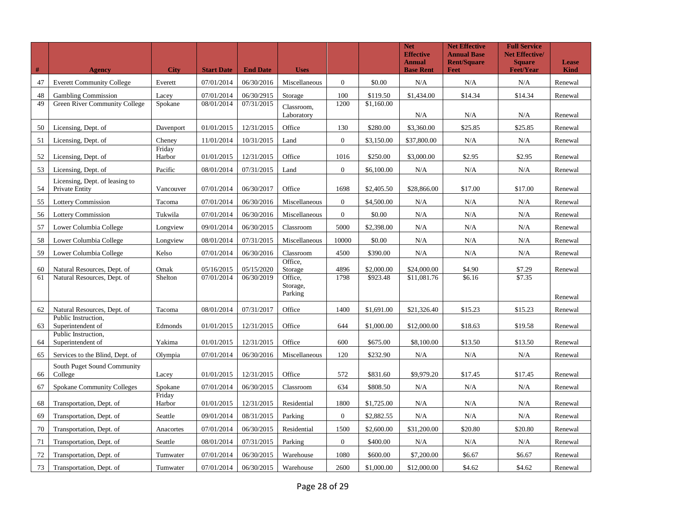| #        | <b>Agency</b>                                                 | <b>City</b>       | <b>Start Date</b>        | <b>End Date</b>          | <b>Uses</b>                                          |                |                        | <b>Net</b><br><b>Effective</b><br><b>Annual</b><br><b>Base Rent</b> | <b>Net Effective</b><br><b>Annual Base</b><br><b>Rent/Square</b><br>Feet | <b>Full Service</b><br><b>Net Effective/</b><br><b>Square</b><br><b>Feet/Year</b> | Lease<br><b>Kind</b> |
|----------|---------------------------------------------------------------|-------------------|--------------------------|--------------------------|------------------------------------------------------|----------------|------------------------|---------------------------------------------------------------------|--------------------------------------------------------------------------|-----------------------------------------------------------------------------------|----------------------|
| 47       | <b>Everett Community College</b>                              | Everett           | 07/01/2014               | 06/30/2016               | Miscellaneous                                        | $\overline{0}$ | \$0.00                 | N/A                                                                 | N/A                                                                      | N/A                                                                               | Renewal              |
| 48       | <b>Gambling Commission</b>                                    | Lacey             | 07/01/2014               | 06/30/2915               | Storage                                              | 100            | \$119.50               | \$1,434.00                                                          | \$14.34                                                                  | \$14.34                                                                           | Renewal              |
| 49       | Green River Community College                                 | Spokane           | 08/01/2014               | 07/31/2015               | Classroom,<br>Laboratory                             | 1200           | \$1,160.00             | N/A                                                                 | N/A                                                                      | N/A                                                                               | Renewal              |
| 50       | Licensing, Dept. of                                           | Davenport         | 01/01/2015               | 12/31/2015               | Office                                               | 130            | \$280.00               | \$3,360.00                                                          | \$25.85                                                                  | \$25.85                                                                           | Renewal              |
| 51       | Licensing, Dept. of                                           | Cheney            | 11/01/2014               | 10/31/2015               | Land                                                 | $\theta$       | \$3,150.00             | \$37,800.00                                                         | N/A                                                                      | N/A                                                                               | Renewal              |
| 52       | Licensing, Dept. of                                           | Friday<br>Harbor  | 01/01/2015               | 12/31/2015               | Office                                               | 1016           | \$250.00               | \$3,000.00                                                          | \$2.95                                                                   | \$2.95                                                                            | Renewal              |
| 53       | Licensing, Dept. of                                           | Pacific           | 08/01/2014               | 07/31/2015               | Land                                                 | $\mathbf{0}$   | \$6,100.00             | N/A                                                                 | N/A                                                                      | N/A                                                                               | Renewal              |
| 54       | Licensing, Dept. of leasing to<br>Private Entity              | Vancouver         | 07/01/2014               | 06/30/2017               | Office                                               | 1698           | \$2,405.50             | \$28,866.00                                                         | \$17.00                                                                  | \$17.00                                                                           | Renewal              |
| 55       | <b>Lottery Commission</b>                                     | Tacoma            | 07/01/2014               | 06/30/2016               | Miscellaneous                                        | $\mathbf{0}$   | \$4,500.00             | N/A                                                                 | N/A                                                                      | N/A                                                                               | Renewal              |
| 56       | <b>Lottery Commission</b>                                     | Tukwila           | 07/01/2014               | 06/30/2016               | Miscellaneous                                        | $\mathbf{0}$   | \$0.00                 | N/A                                                                 | N/A                                                                      | N/A                                                                               | Renewal              |
| 57       | Lower Columbia College                                        | Longview          | 09/01/2014               | 06/30/2015               | Classroom                                            | 5000           | \$2,398.00             | N/A                                                                 | N/A                                                                      | N/A                                                                               | Renewal              |
| 58       | Lower Columbia College                                        | Longview          | 08/01/2014               | 07/31/2015               | Miscellaneous                                        | 10000          | \$0.00                 | N/A                                                                 | N/A                                                                      | N/A                                                                               | Renewal              |
| 59       | Lower Columbia College                                        | Kelso             | 07/01/2014               | 06/30/2016               | Classroom                                            | 4500           | \$390.00               | N/A                                                                 | N/A                                                                      | N/A                                                                               | Renewal              |
| 60<br>61 | Natural Resources, Dept. of<br>Natural Resources, Dept. of    | Omak<br>Shelton   | 05/16/2015<br>07/01/2014 | 05/15/2020<br>06/30/2019 | Office,<br>Storage<br>Office,<br>Storage,<br>Parking | 4896<br>1798   | \$2,000.00<br>\$923.48 | \$24,000.00<br>\$11,081.76                                          | \$4.90<br>\$6.16                                                         | \$7.29<br>\$7.35                                                                  | Renewal              |
|          |                                                               |                   |                          |                          |                                                      |                |                        |                                                                     |                                                                          |                                                                                   | Renewal              |
| 62       | Natural Resources, Dept. of<br>Public Instruction,            | Tacoma            | 08/01/2014               | 07/31/2017               | Office                                               | 1400           | \$1,691.00             | \$21,326.40                                                         | \$15.23                                                                  | \$15.23                                                                           | Renewal              |
| 63<br>64 | Superintendent of<br>Public Instruction.<br>Superintendent of | Edmonds<br>Yakima | 01/01/2015<br>01/01/2015 | 12/31/2015<br>12/31/2015 | Office<br>Office                                     | 644<br>600     | \$1,000.00<br>\$675.00 | \$12,000.00<br>\$8,100.00                                           | \$18.63<br>\$13.50                                                       | \$19.58<br>\$13.50                                                                | Renewal<br>Renewal   |
| 65       | Services to the Blind, Dept. of                               | Olympia           | 07/01/2014               | 06/30/2016               | Miscellaneous                                        | 120            | \$232.90               | N/A                                                                 | N/A                                                                      | N/A                                                                               | Renewal              |
| 66       | South Puget Sound Community<br>College                        | Lacey             | 01/01/2015               | 12/31/2015               | Office                                               | 572            | \$831.60               | \$9,979.20                                                          | \$17.45                                                                  | \$17.45                                                                           | Renewal              |
| 67       | <b>Spokane Community Colleges</b>                             | Spokane           | 07/01/2014               | 06/30/2015               | Classroom                                            | 634            | \$808.50               | N/A                                                                 | N/A                                                                      | N/A                                                                               | Renewal              |
| 68       | Transportation, Dept. of                                      | Friday<br>Harbor  | 01/01/2015               | 12/31/2015               | Residential                                          | 1800           | \$1,725.00             | N/A                                                                 | N/A                                                                      | N/A                                                                               | Renewal              |
| 69       | Transportation, Dept. of                                      | Seattle           | 09/01/2014               | 08/31/2015               | Parking                                              | $\overline{0}$ | \$2,882.55             | N/A                                                                 | N/A                                                                      | N/A                                                                               | Renewal              |
| 70       | Transportation, Dept. of                                      | Anacortes         | 07/01/2014               | 06/30/2015               | Residential                                          | 1500           | \$2,600.00             | \$31,200.00                                                         | \$20.80                                                                  | \$20.80                                                                           | Renewal              |
| 71       | Transportation, Dept. of                                      | Seattle           | 08/01/2014               | 07/31/2015               | Parking                                              | $\mathbf{0}$   | \$400.00               | N/A                                                                 | N/A                                                                      | N/A                                                                               | Renewal              |
| 72       | Transportation, Dept. of                                      | Tumwater          | 07/01/2014               | 06/30/2015               | Warehouse                                            | 1080           | \$600.00               | \$7,200.00                                                          | \$6.67                                                                   | \$6.67                                                                            | Renewal              |
| 73       | Transportation, Dept. of                                      | Tumwater          | 07/01/2014               | 06/30/2015               | Warehouse                                            | 2600           | \$1,000.00             | \$12,000.00                                                         | \$4.62                                                                   | \$4.62                                                                            | Renewal              |